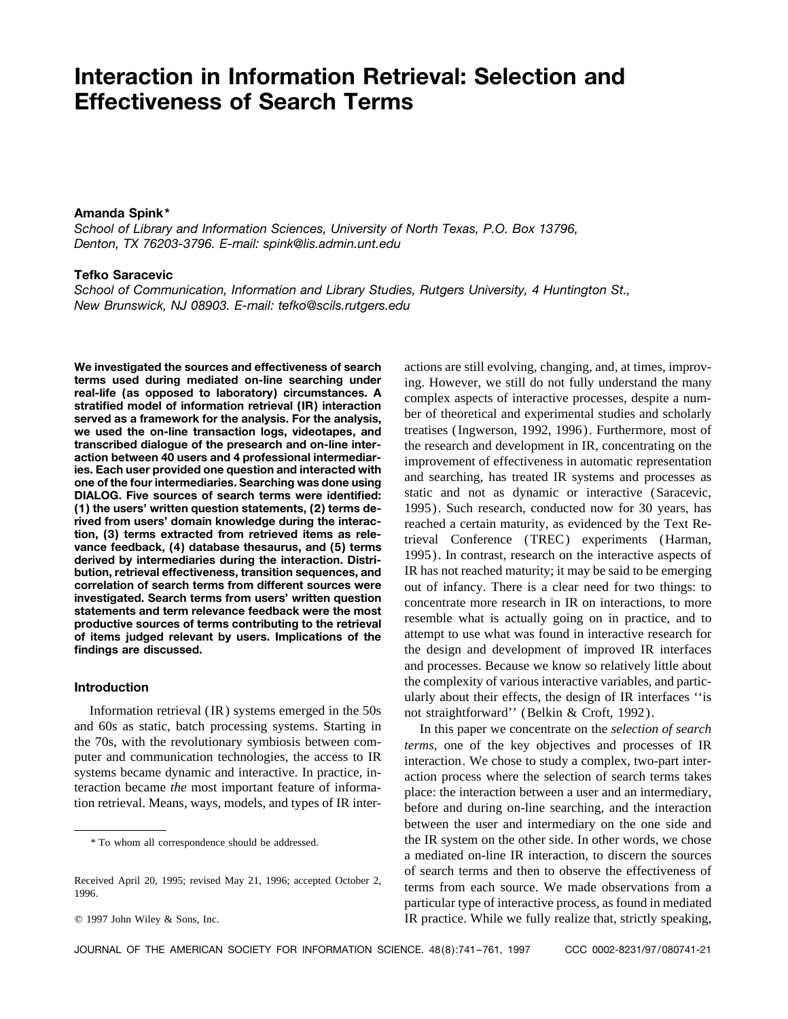# **Interaction in Information Retrieval: Selection and Effectiveness of Search Terms**

### **Amanda Spink\***

*School of Library and Information Sciences, University of North Texas, P.O. Box 13796, Denton, TX 76203-3796. E-mail: spink@lis.admin.unt.edu*

## **Tefko Saracevic**

*School of Communication, Information and Library Studies, Rutgers University, 4 Huntington St., New Brunswick, NJ 08903. E-mail: tefko@scils.rutgers.edu*

**We investigated the sources and effectiveness of search** actions are still evolving, changing, and, at times, improv-<br>**terms used during mediated on-line searching under** ing However we still do not fully understand the m terms used during mediated on-line searching under<br>real-life (as opposed to laboratory) circumstances. A<br>stratified model of information retrieval (IR) interaction<br>served as a framework for the analysis. For the analysis,<br> **transcribed dialogue of the presearch and on-line inter-** the research and development in IR, concentrating on the **action between 40 users and 4 professional intermediar-** improvement of effectiveness in automatic repres action between 40 users and 4 professional intermediar-<br>ies. Each user provided one question and interacted with<br>one of the four intermediaries. Searching was done using<br>DIALOG Five sources of search terms were identified. **DIALOG. Five sources of search terms were identified: (1) the users' written question statements, (2) terms de-** 1995). Such research, conducted now for 30 years, has rived from users' domain knowledge during the interac-<br>tion, (3) terms extracted from retrieved items as rele-<br>vance feedback, (4) database thesaurus, and (5) terms<br>derived by intermediaries during the interaction. Distri**bution, retrieval effectiveness, transition sequences, and** IR has not reached maturity; it may be said to be emerging **correlation of search terms from different sources were** out of infancy. There is a clear need for tw **correlation of search terms from different sources were** out of infancy. There is a clear need for two things: to investigated. Search terms from users' written question<br>
concentrate more recearch in IP on interactions to investigated. Search terms from users' written question<br>statements and term relevance feedback were the most<br>productive sources of terms contributing to the retrieval<br>of items indeed relevant by users. Implications of the of items judged relevant by users. Implications of the findings are discussed.

Information retrieval (IR) systems emerged in the 50s not straightforward'' (Belkin & Croft, 1992). and 60s as static, batch processing systems. Starting in In this paper we concentrate on the *selection of search* the 70s, with the revolutionary symbiosis between com-<br>puter and communication technologies, the access to IR interaction. We chose to study a complex two-part inter-

treatises (Ingwerson, 1992, 1996). Furthermore, most of **findings are discussed.** the design and development of improved IR interfaces and processes. Because we know so relatively little about the complexity of various interactive variables, and partic- **Introduction** ularly about their effects, the design of IR interfaces ''is

puter and communication technologies, the access to IR interaction. We chose to study a complex, two-part inter-<br>systems became dynamic and interactive. In practice, in-<br>teraction process where the selection of search term between the user and intermediary on the one side and \* To whom all correspondence should be addressed. the IR system on the other side. In other words, we chose a mediated on-line IR interaction, to discern the sources of search terms and then to observe the effectiveness of Received April 20, 1995; revised May 21, 1996; accepted October 2, terms from each source. We made observations from a 1996. particular type of interactive process, as found in mediated  $\circ$  1997 John Wiley & Sons, Inc. IR practice. While we fully realize that, strictly speaking,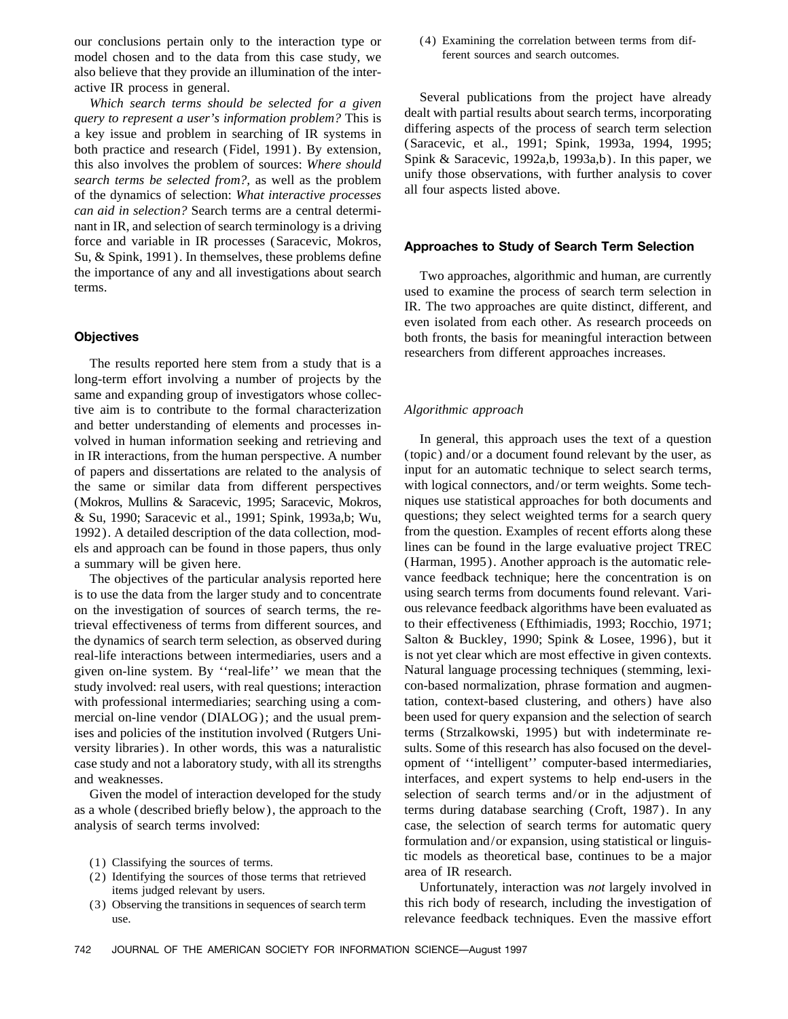our conclusions pertain only to the interaction type or (4) Examining the correlation between terms from dif-<br>model chosen and to the data from this case study we ferent sources and search outcomes. model chosen and to the data from this case study, we also believe that they provide an illumination of the inter-

a key issue and problem in searching of IR systems in<br>both practice and research (Fidel, 1991). By extension, (Saracevic, et al., 1991; Spink, 1993a, 1994, 1995;<br>this also involves the problem of sources: *Where should* Sp search terms be selected from?, as well as the problem all four aspects listed above.<br>of the dynamics of selection: *What interactive processes* all four aspects listed above. *can aid in selection?* Search terms are a central determinant in IR, and selection of search terminology is a driving force and variable in IR processes (Saracevic, Mokros, **Approaches to Study of Search Term Selection** Su, & Spink, 1991). In themselves, these problems define the importance of any and all investigations about search Two approaches, algorithmic and human, are currently terms.

long-term effort involving a number of projects by the same and expanding group of investigators whose collective aim is to contribute to the formal characterization *Algorithmic approach* and better understanding of elements and processes involved in human information seeking and retrieving and In general, this approach uses the text of a question in IR interactions, from the human perspective. A number (topic) and/or a document found relevant by the user, as of papers and dissertations are related to the analysis of input for an automatic technique to select search terms, the same or similar data from different perspectives with logical connectors, and/or term weights. Some tech- (Mokros, Mullins & Saracevic, 1995; Saracevic, Mokros, niques use statistical approaches for both documents and & Su, 1990; Saracevic et al., 1991; Spink, 1993a,b; Wu, questions; they select weighted terms for a search query 1992). A detailed description of the data collection, mod- from the question. Examples of recent efforts along these els and approach can be found in those papers, thus only lines can be found in the large evaluative project TREC a summary will be given here. (Harman, 1995). Another approach is the automatic rele-

is to use the data from the larger study and to concentrate using search terms from documents found relevant. Varion the investigation of sources of search terms, the re- ous relevance feedback algorithms have been evaluated as trieval effectiveness of terms from different sources, and to their effectiveness (Efthimiadis, 1993; Rocchio, 1971; the dynamics of search term selection, as observed during Salton & Buckley, 1990; Spink & Losee, 1996), but it real-life interactions between intermediaries, users and a is not yet clear which are most effective in given contexts. given on-line system. By ''real-life'' we mean that the Natural language processing techniques (stemming, lexistudy involved: real users, with real questions; interaction con-based normalization, phrase formation and augmenwith professional intermediaries; searching using a com-<br>tation, context-based clustering, and others) have also mercial on-line vendor (DIALOG); and the usual prem- been used for query expansion and the selection of search ises and policies of the institution involved (Rutgers Uni- terms (Strzalkowski, 1995) but with indeterminate reversity libraries). In other words, this was a naturalistic sults. Some of this research has also focused on the develcase study and not a laboratory study, with all its strengths opment of ''intelligent'' computer-based intermediaries, and weaknesses. interfaces, and expert systems to help end-users in the

as a whole (described briefly below), the approach to the terms during database searching (Croft, 1987). In any analysis of search terms involved: case, the selection of search terms for automatic query

- 
- 
- 

active IR process in general.<br>
Which search terms should be selected for a given<br>
query to represent a user's information problem? This is<br>
a key issue and problem in searching of IP systems in<br>
a liftering aspects of the

used to examine the process of search term selection in IR. The two approaches are quite distinct, different, and even isolated from each other. As research proceeds on **Objectives** both fronts, the basis for meaningful interaction between researchers from different approaches increases. The results reported here stem from a study that is a

The objectives of the particular analysis reported here vance feedback technique; here the concentration is on Given the model of interaction developed for the study selection of search terms and/or in the adjustment of formulation and/or expansion, using statistical or linguistic models as theoretical base, continues to be a major (2) Identifying the sources of those terms that retrieved area of IR research.

items judged relevant by users. Unfortunately, interaction was *not* largely involved in (3) Observing the transitions in sequences of search term this rich body of research, including the investigation of use. relevance feedback techniques. Even the massive effort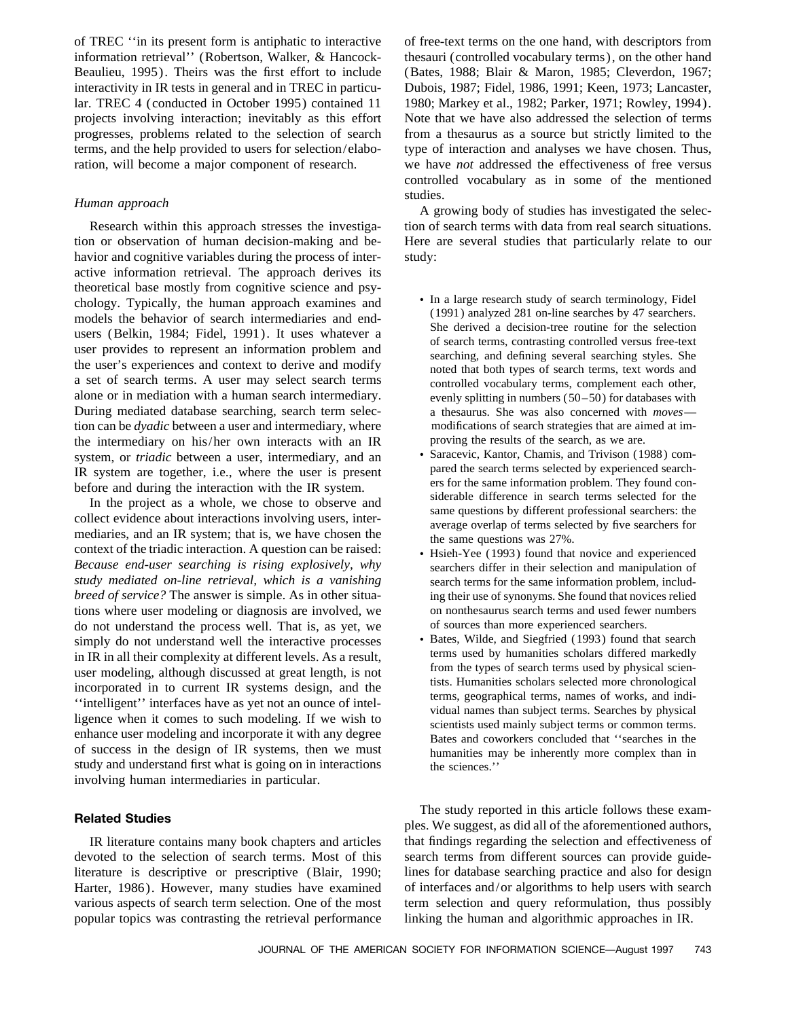of TREC ''in its present form is antiphatic to interactive of free-text terms on the one hand, with descriptors from information retrieval'' (Robertson, Walker, & Hancock- thesauri (controlled vocabulary terms), on the other hand Beaulieu, 1995). Theirs was the first effort to include (Bates, 1988; Blair & Maron, 1985; Cleverdon, 1967; interactivity in IR tests in general and in TREC in particu- Dubois, 1987; Fidel, 1986, 1991; Keen, 1973; Lancaster, lar. TREC 4 (conducted in October 1995) contained 11 1980; Markey et al., 1982; Parker, 1971; Rowley, 1994). projects involving interaction; inevitably as this effort Note that we have also addressed the selection of terms progresses, problems related to the selection of search from a thesaurus as a source but strictly limited to the terms, and the help provided to users for selection/elabo- type of interaction and analyses we have chosen. Thus, ration, will become a major component of research. we have *not* addressed the effectiveness of free versus

tion or observation of human decision-making and be- Here are several studies that particularly relate to our havior and cognitive variables during the process of inter-<br>study: active information retrieval. The approach derives its theoretical base mostly from cognitive science and psy-<br>chology. Typically, the human approach examines and<br>models the behavior of search intermediaries and end-<br>models the behavior of search intermediaries and end-<br>She de She derived a decision-tree routine for the selection<br>users (Belkin, 1984; Fidel, 1991). It uses whatever a<br>user provides to represent an information problem and<br>the user's experiences and context to derive and modify<br>a se a set of search terms. A user may select search terms controlled vocabulary terms, complement each other, alone or in mediation with a human search intermediary. During mediated database searching, search term selec- a thesaurus. She was also concerned with *moves* tion can be *dyadic* between a user and intermediary, where modifications of search strategies that are aimed at imthe intermediary on his/her own interacts with an IR proving the results of the search, as we are.<br>system or *triadic* between a user intermediary and an **Saracevic, Kantor, Chamis, and Trivison** (1988) comsystem, or *triadic* between a user, intermediary, and an **Saracevic, Kantor, Chamis, and Trivison** (1988) com-<br>IR system are together i.e., where the user is present pared the search terms selected by experienced search-

The system are together, i.e., where the user is present<br>
before and during the interaction with the IR system.<br>
In the project as a whole, we chose to observe and<br>
collect evidence about interactions involving users, inte *Because end-user searching is rising explosively, why* searchers differ in their selection and manipulation of *study mediated on-line retrieval, which is a vanishing* search terms for the same information problem, includ *breed of service?* The answer is simple. As in other situa- ing their use of synonyms. She found that novices relied tions where user modeling or diagnosis are involved, we on nonthesaurus search terms and used fewer numbers do not understand the process well. That is, as yet, we of sources than more experienced searchers.<br>Simply do not understand well the interactive processes below by the searchers. simply do not understand well the interactive processes bates, Wilde, and Siegfried (1993) found that search<br>in IR in all their complexity at different levels. As a result terms used by humanities scholars differed markedl in IR in all their complexity at different levels. As a result,<br>
user modeling, although discussed at great length, is not<br>
incorporated in to current IR systems design, and the<br>
"intelligent" interfaces have as yet not an emance user modering and incorporate it with any degree<br>of success in the design of IR systems, then we must<br>humanities may be inherently more complex than in study and understand first what is going on in interactions the sciences.'' involving human intermediaries in particular.

devoted to the selection of search terms. Most of this search terms from different sources can provide guideliterature is descriptive or prescriptive (Blair, 1990; lines for database searching practice and also for design Harter, 1986). However, many studies have examined of interfaces and/or algorithms to help users with search various aspects of search term selection. One of the most term selection and query reformulation, thus possibly popular topics was contrasting the retrieval performance linking the human and algorithmic approaches in IR.

controlled vocabulary as in some of the mentioned

*Human approach* **A** studies.<br>A growing body of studies has investigated the selec-Research within this approach stresses the investiga- tion of search terms with data from real search situations.

- 
- 
- 
- 

**The study reported in this article follows these exam- Related Studies** ples. We suggest, as did all of the aforementioned authors, IR literature contains many book chapters and articles that findings regarding the selection and effectiveness of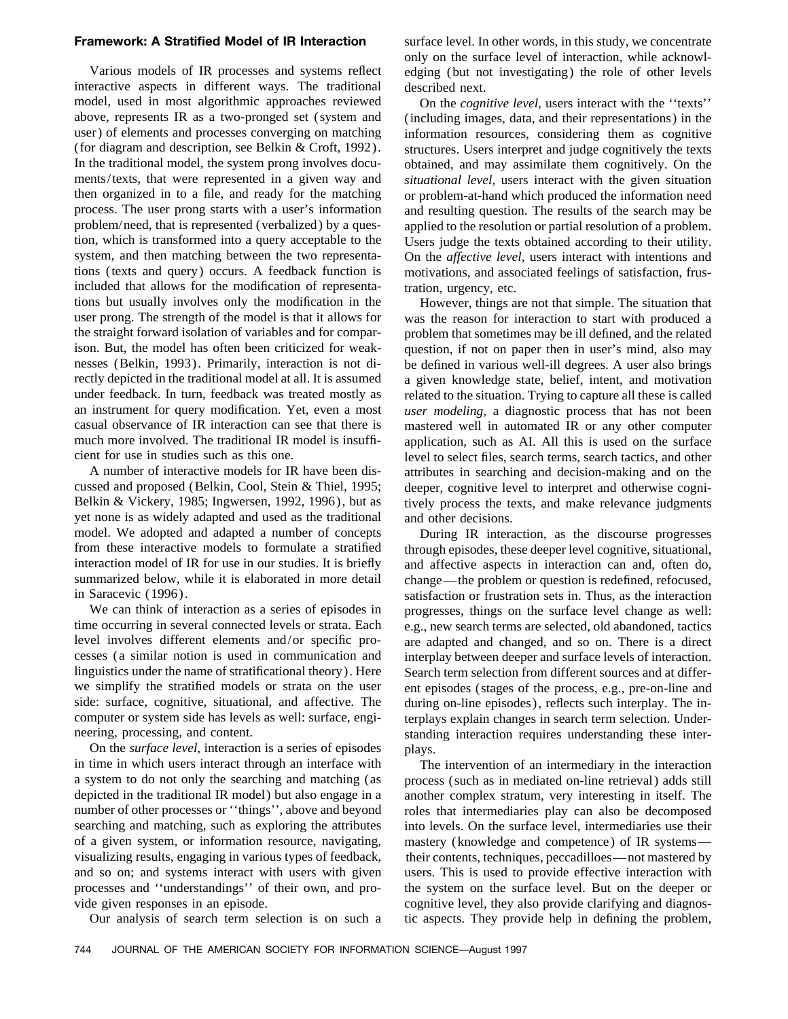## **Framework: A Stratified Model of IR Interaction** surface level. In other words, in this study, we concentrate

interactive aspects in different ways. The traditional described next. model, used in most algorithmic approaches reviewed On the *cognitive level*, users interact with the "texts" above, represents IR as a two-pronged set (system and (including images, data, and their representations) in the user) of elements and processes converging on matching information resources, considering them as cognitive (for diagram and description, see Belkin & Croft, 1992). structures. Users interpret and judge cognitively the texts In the traditional model, the system prong involves docu-<br>botained, and may assimilate them cognitively. On the ments/texts, that were represented in a given way and *situational level,* users interact with the given situation then organized in to a file, and ready for the matching or problem-at-hand which produced the information need process. The user prong starts with a user's information and resulting question. The results of the search may be problem/need, that is represented (verbalized) by a ques- applied to the resolution or partial resolution of a problem. tion, which is transformed into a query acceptable to the Users judge the texts obtained according to their utility. system, and then matching between the two representa- On the *affective level*, users interact with intentions and tions (texts and query) occurs. A feedback function is motivations, and associated feelings of satisfaction, frusincluded that allows for the modification of representa- tration, urgency, etc. tions but usually involves only the modification in the However, things are not that simple. The situation that user prong. The strength of the model is that it allows for was the reason for interaction to start with produced a the straight forward isolation of variables and for compar- problem that sometimes may be ill defined, and the related ison. But, the model has often been criticized for weak- question, if not on paper then in user's mind, also may nesses (Belkin, 1993). Primarily, interaction is not di- be defined in various well-ill degrees. A user also brings rectly depicted in the traditional model at all. It is assumed a given knowledge state, belief, intent, and motivation under feedback. In turn, feedback was treated mostly as related to the situation. Trying to capture all these is called an instrument for query modification. Yet, even a most *user modeling,* a diagnostic process that has not been casual observance of IR interaction can see that there is mastered well in automated IR or any other computer much more involved. The traditional IR model is insuffi-<br>application, such as AI. All this is used on the surface cient for use in studies such as this one. level to select files, search terms, search tactics, and other

cussed and proposed (Belkin, Cool, Stein & Thiel, 1995; deeper, cognitive level to interpret and otherwise cogni-Belkin & Vickery, 1985; Ingwersen, 1992, 1996), but as tively process the texts, and make relevance judgments yet none is as widely adapted and used as the traditional and other decisions. model. We adopted and adapted a number of concepts During IR interaction, as the discourse progresses from these interactive models to formulate a stratified through episodes, these deeper level cognitive, situational, interaction model of IR for use in our studies. It is briefly and affective aspects in interaction can and, often do, summarized below, while it is elaborated in more detail change—the problem or question is redefined, refocused,

time occurring in several connected levels or strata. Each e.g., new search terms are selected, old abandoned, tactics level involves different elements and/or specific pro- are adapted and changed, and so on. There is a direct cesses (a similar notion is used in communication and interplay between deeper and surface levels of interaction. linguistics under the name of stratificational theory). Here Search term selection from different sources and at differwe simplify the stratified models or strata on the user ent episodes (stages of the process, e.g., pre-on-line and side: surface, cognitive, situational, and affective. The during on-line episodes), reflects such interplay. The incomputer or system side has levels as well: surface, engi- terplays explain changes in search term selection. Under-

On the *surface level*, interaction is a series of episodes plays. in time in which users interact through an interface with The intervention of an intermediary in the interaction a system to do not only the searching and matching (as process (such as in mediated on-line retrieval) adds still depicted in the traditional IR model) but also engage in a another complex stratum, very interesting in itself. The number of other processes or "things", above and beyond roles that intermediaries play can also be decomposed searching and matching, such as exploring the attributes into levels. On the surface level, intermediaries use their of a given system, or information resource, navigating, mastery (knowledge and competence) of IR systems visualizing results, engaging in various types of feedback, their contents, techniques, peccadilloes—not mastered by and so on; and systems interact with users with given users. This is used to provide effective interaction with processes and ''understandings'' of their own, and pro- the system on the surface level. But on the deeper or vide given responses in an episode. cognitive level, they also provide clarifying and diagnos-

only on the surface level of interaction, while acknowl-Various models of IR processes and systems reflect edging (but not investigating) the role of other levels

A number of interactive models for IR have been dis- attributes in searching and decision-making and on the

in Saracevic (1996). satisfaction or frustration sets in. Thus, as the interaction We can think of interaction as a series of episodes in progresses, things on the surface level change as well: neering, processing, and content. standing interaction requires understanding these inter-

Our analysis of search term selection is on such a tic aspects. They provide help in defining the problem,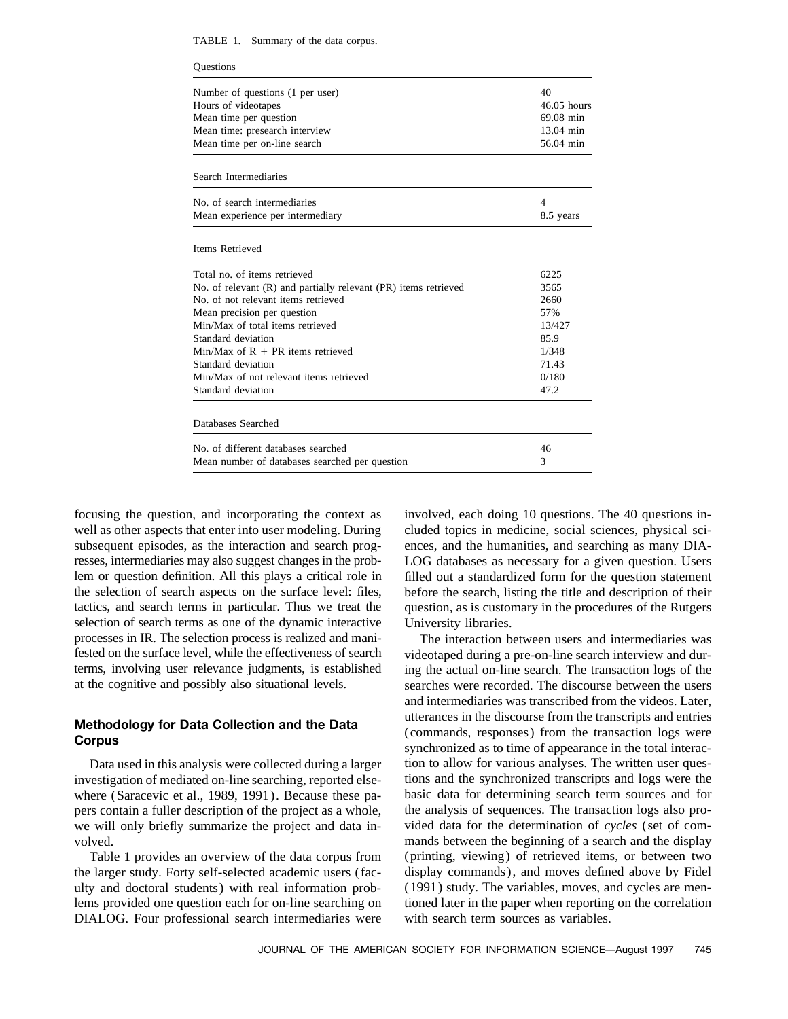| Questions                                                       |                          |
|-----------------------------------------------------------------|--------------------------|
| Number of questions (1 per user)                                | 40                       |
| Hours of videotapes                                             | 46.05 hours              |
| Mean time per question                                          | 69.08 min                |
| Mean time: presearch interview                                  | 13.04 min                |
| Mean time per on-line search                                    | 56.04 min                |
| Search Intermediaries                                           |                          |
| No. of search intermediaries                                    | $\overline{\mathcal{A}}$ |
| Mean experience per intermediary                                | 8.5 years                |
| <b>Items Retrieved</b>                                          |                          |
| Total no. of items retrieved                                    | 6225                     |
| No. of relevant (R) and partially relevant (PR) items retrieved | 3565                     |
| No. of not relevant items retrieved                             | 2660                     |
| Mean precision per question                                     | 57%                      |
| Min/Max of total items retrieved                                | 13/427                   |
| Standard deviation                                              | 85.9                     |
| Min/Max of $R + PR$ items retrieved                             | 1/348                    |
| Standard deviation                                              | 71.43                    |
| Min/Max of not relevant items retrieved                         | 0/180                    |
| Standard deviation                                              | 47.2                     |
| Databases Searched                                              |                          |
| No. of different databases searched                             | 46                       |
| Mean number of databases searched per question                  | 3                        |

TABLE 1. Summary of the data corpus.

focusing the question, and incorporating the context as involved, each doing 10 questions. The 40 questions inwell as other aspects that enter into user modeling. During cluded topics in medicine, social sciences, physical scisubsequent episodes, as the interaction and search prog- ences, and the humanities, and searching as many DIAresses, intermediaries may also suggest changes in the prob- LOG databases as necessary for a given question. Users lem or question definition. All this plays a critical role in filled out a standardized form for the question statement the selection of search aspects on the surface level: files, before the search, listing the title and description of their tactics, and search terms in particular. Thus we treat the question, as is customary in the procedures of the Rutgers selection of search terms as one of the dynamic interactive University libraries. selection of search terms as one of the dynamic interactive processes in IR. The selection process is realized and mani-<br>fested on the surface level, while the effectiveness of search interview and surface level, while the effectiveness of search interview and durterms, involving user relevance judgments, is established ing the actual on-line search. The transaction logs of the at the cognitive and possibly also situational levels.

investigation of mediated on-line searching, reported else- tions and the synchronized transcripts and logs were the where (Saracevic et al., 1989, 1991). Because these pa-<br>basic data for determining search term sources and for pers contain a fuller description of the project as a whole, the analysis of sequences. The transaction logs also prowe will only briefly summarize the project and data in- vided data for the determination of *cycles* (set of comvolved. **mands** between the beginning of a search and the display

the larger study. Forty self-selected academic users (fac- display commands), and moves defined above by Fidel ulty and doctoral students) with real information prob- (1991) study. The variables, moves, and cycles are menlems provided one question each for on-line searching on tioned later in the paper when reporting on the correlation DIALOG. Four professional search intermediaries were with search term sources as variables.

videotaped during a pre-on-line search interview and dursearches were recorded. The discourse between the users and intermediaries was transcribed from the videos. Later, **Methodology for Data Collection and the Data** utterances in the discourse from the transcripts and entries<br> **Corpus** (commands, responses) from the transaction logs were<br>
synchronized as to time of appearance in the total Data used in this analysis were collected during a larger tion to allow for various analyses. The written user ques-Table 1 provides an overview of the data corpus from (printing, viewing) of retrieved items, or between two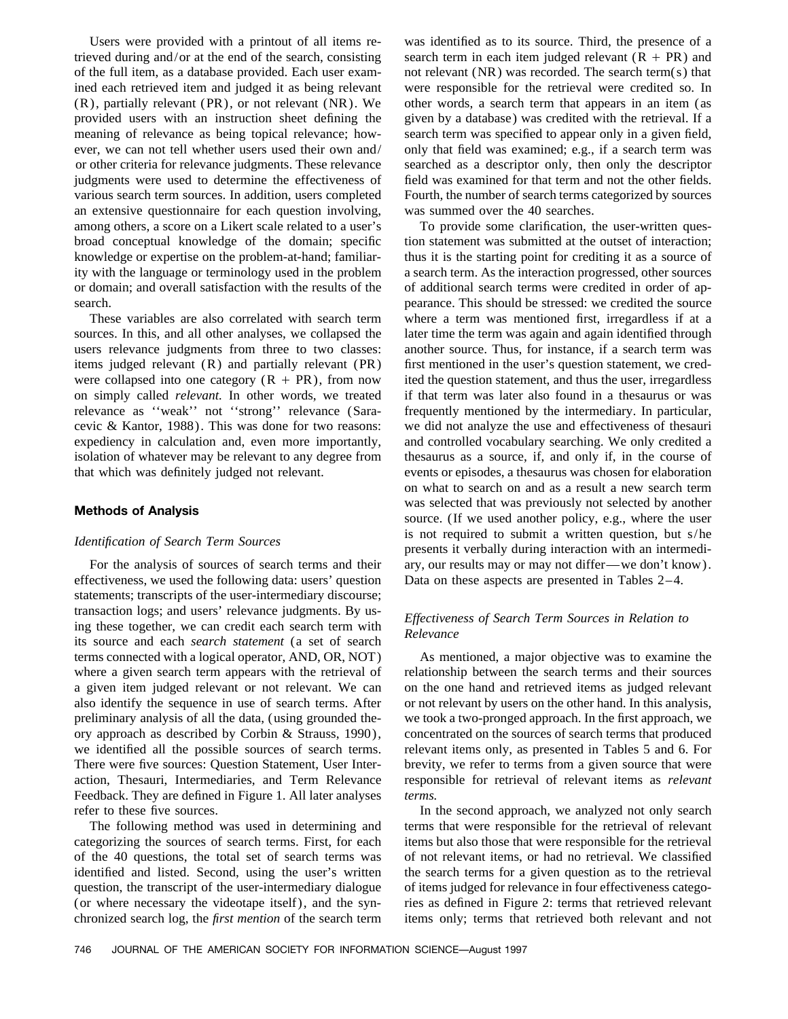trieved during and/or at the end of the search, consisting search term in each item judged relevant  $(R + PR)$  and of the full item, as a database provided. Each user exam- not relevant (NR) was recorded. The search term(s) that ined each retrieved item and judged it as being relevant were responsible for the retrieval were credited so. In (R), partially relevant (PR), or not relevant (NR). We other words, a search term that appears in an item (as provided users with an instruction sheet defining the given by a database) was credited with the retrieval. If a meaning of relevance as being topical relevance; how- search term was specified to appear only in a given field, ever, we can not tell whether users used their own and/ only that field was examined; e.g., if a search term was or other criteria for relevance judgments. These relevance searched as a descriptor only, then only the descriptor judgments were used to determine the effectiveness of field was examined for that term and not the other fields. various search term sources. In addition, users completed Fourth, the number of search terms categorized by sources an extensive questionnaire for each question involving, was summed over the 40 searches. among others, a score on a Likert scale related to a user's To provide some clarification, the user-written quesbroad conceptual knowledge of the domain; specific tion statement was submitted at the outset of interaction; knowledge or expertise on the problem-at-hand; familiar- thus it is the starting point for crediting it as a source of ity with the language or terminology used in the problem a search term. As the interaction progressed, other sources or domain; and overall satisfaction with the results of the of additional search terms were credited in order of apsearch. **pearance** is the source search. **pearance** in the source search is should be stressed: we credited the source

sources. In this, and all other analyses, we collapsed the later time the term was again and again identified through users relevance judgments from three to two classes: another source. Thus, for instance, if a search term was items judged relevant  $(R)$  and partially relevant  $(PR)$  first mentioned in the user's question statement, we credwere collapsed into one category  $(R + PR)$ , from now ited the question statement, and thus the user, irregardless on simply called *relevant.* In other words, we treated if that term was later also found in a thesaurus or was relevance as ''weak'' not ''strong'' relevance (Sara- frequently mentioned by the intermediary. In particular, cevic & Kantor, 1988). This was done for two reasons: we did not analyze the use and effectiveness of thesauri expediency in calculation and, even more importantly, and controlled vocabulary searching. We only credited a isolation of whatever may be relevant to any degree from thesaurus as a source, if, and only if, in the course of that which was definitely judged not relevant. events or episodes, a thesaurus was chosen for elaboration

effectiveness, we used the following data: users' question Data on these aspects are presented in Tables 2–4. statements; transcripts of the user-intermediary discourse; transaction logs; and users' relevance judgments. By us-<br>ing these together, we can credit each search term with<br>its source and each *search statement* (a set of search<br> $\frac{1}{2}$ terms connected with a logical operator, AND, OR, NOT) As mentioned, a major objective was to examine the where a given search term appears with the retrieval of relationship between the search terms and their sources a given item judged relevant or not relevant. We can on the one hand and retrieved items as judged relevant also identify the sequence in use of search terms. After or not relevant by users on the other hand. In this analysis, preliminary analysis of all the data, (using grounded the- we took a two-pronged approach. In the first approach, we ory approach as described by Corbin & Strauss, 1990), concentrated on the sources of search terms that produced we identified all the possible sources of search terms. relevant items only, as presented in Tables 5 and 6. For There were five sources: Question Statement, User Inter- brevity, we refer to terms from a given source that were action, Thesauri, Intermediaries, and Term Relevance responsible for retrieval of relevant items as *relevant* Feedback. They are defined in Figure 1. All later analyses *terms.* refer to these five sources. In the second approach, we analyzed not only search

categorizing the sources of search terms. First, for each items but also those that were responsible for the retrieval of the 40 questions, the total set of search terms was of not relevant items, or had no retrieval. We classified identified and listed. Second, using the user's written the search terms for a given question as to the retrieval question, the transcript of the user-intermediary dialogue of items judged for relevance in four effectiveness catego-(or where necessary the videotape itself), and the syn- ries as defined in Figure 2: terms that retrieved relevant chronized search log, the *first mention* of the search term items only; terms that retrieved both relevant and not

Users were provided with a printout of all items re- was identified as to its source. Third, the presence of a

These variables are also correlated with search term where a term was mentioned first, irregardless if at a on what to search on and as a result a new search term **Methods of Analysis Methods of Analysis Methods of Analysis** source. (If we used another policy, e.g., where the user *Identification of Search Term Sources* is not required to submit a written question, but s/he presents it verbally during interaction with an intermedi-For the analysis of sources of search terms and their ary, our results may or may not differ—we don't know).

The following method was used in determining and terms that were responsible for the retrieval of relevant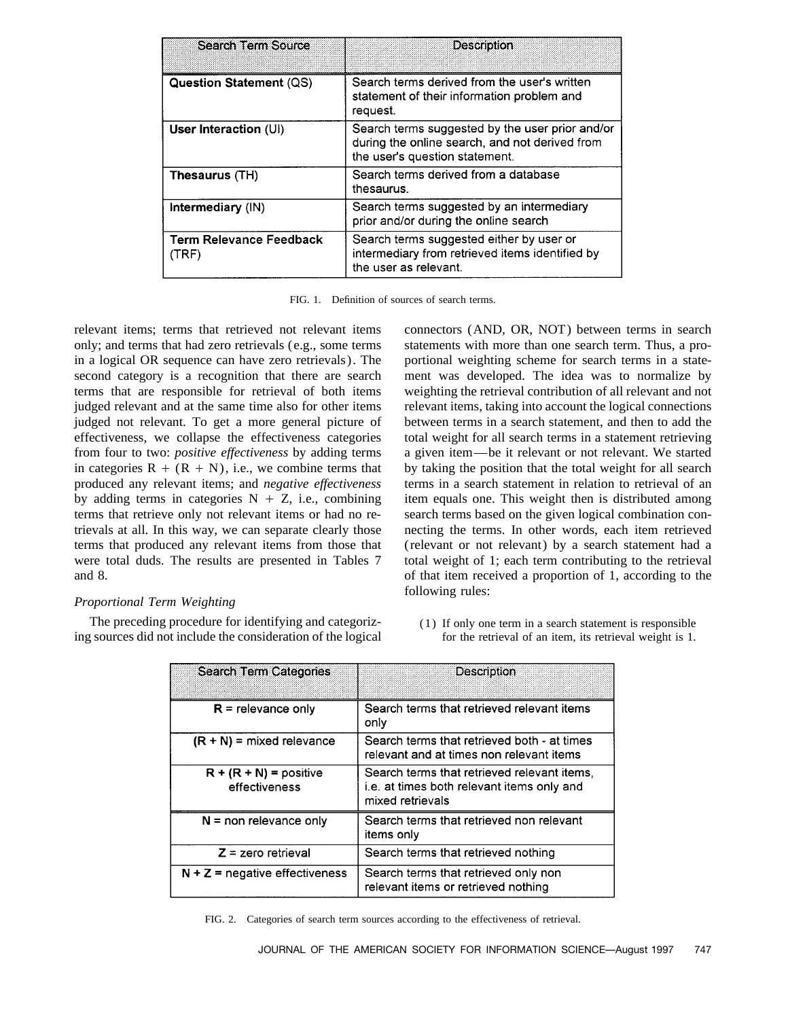| <b>Search Term Source</b>               | Description                                                                                                                         |
|-----------------------------------------|-------------------------------------------------------------------------------------------------------------------------------------|
| <b>Question Statement (QS)</b>          | Search terms derived from the user's written<br>statement of their information problem and<br>request.                              |
| User Interaction $(UI)$                 | Search terms suggested by the user prior and/or<br>during the online search, and not derived from<br>the user's question statement. |
| Thesaurus (TH)                          | Search terms derived from a database<br>thesaurus.                                                                                  |
| Intermediary (IN)                       | Search terms suggested by an intermediary<br>prior and/or during the online search                                                  |
| <b>Term Relevance Feedback</b><br>(TRF) | Search terms suggested either by user or<br>intermediary from retrieved items identified by<br>the user as relevant.                |

FIG. 1. Definition of sources of search terms.

relevant items; terms that retrieved not relevant items connectors (AND, OR, NOT) between terms in search only; and terms that had zero retrievals (e.g., some terms statements with more than one search term. Thus, a proin a logical OR sequence can have zero retrievals). The portional weighting scheme for search terms in a statesecond category is a recognition that there are search ment was developed. The idea was to normalize by terms that are responsible for retrieval of both items weighting the retrieval contribution of all relevant and not judged relevant and at the same time also for other items relevant items, taking into account the logical connections judged not relevant. To get a more general picture of between terms in a search statement, and then to add the effectiveness, we collapse the effectiveness categories total weight for all search terms in a statement retrieving from four to two: *positive effectiveness* by adding terms a given item—be it relevant or not relevant. We started in categories  $R + (R + N)$ , i.e., we combine terms that by taking the position that the total weight for all search produced any relevant items; and *negative effectiveness* terms in a search statement in relation to retrieval of an by adding terms in categories  $N + Z$ , i.e., combining item equals one. This weight then is distributed among terms that retrieve only not relevant items or had no re- search terms based on the given logical combination contrievals at all. In this way, we can separate clearly those necting the terms. In other words, each item retrieved terms that produced any relevant items from those that (relevant or not relevant) by a search statement had a were total duds. The results are presented in Tables 7 total weight of 1; each term contributing to the retrieval and 8. of that item received a proportion of 1, according to the

# following rules: *Proportional Term Weighting*

The preceding procedure for identifying and categoriz- (1) If only one term in a search statement is responsible ing sources did not include the consideration of the logical for the retrieval of an item, its retrieval weight is 1.

- -

| <b>Search Term Categories</b>             | Description                                                                                                   |
|-------------------------------------------|---------------------------------------------------------------------------------------------------------------|
| $R =$ relevance only                      | Search terms that retrieved relevant items<br>only                                                            |
| $(R + N)$ = mixed relevance               | Search terms that retrieved both - at times<br>relevant and at times non relevant items                       |
| $R + (R + N) =$ positive<br>effectiveness | Search terms that retrieved relevant items,<br>i.e. at times both relevant items only and<br>mixed retrievals |
| $N =$ non relevance only                  | Search terms that retrieved non relevant<br>items only                                                        |
| $Z =$ zero retrieval                      | Search terms that retrieved nothing                                                                           |
| $N + Z$ = negative effectiveness          | Search terms that retrieved only non<br>relevant items or retrieved nothing                                   |

FIG. 2. Categories of search term sources according to the effectiveness of retrieval.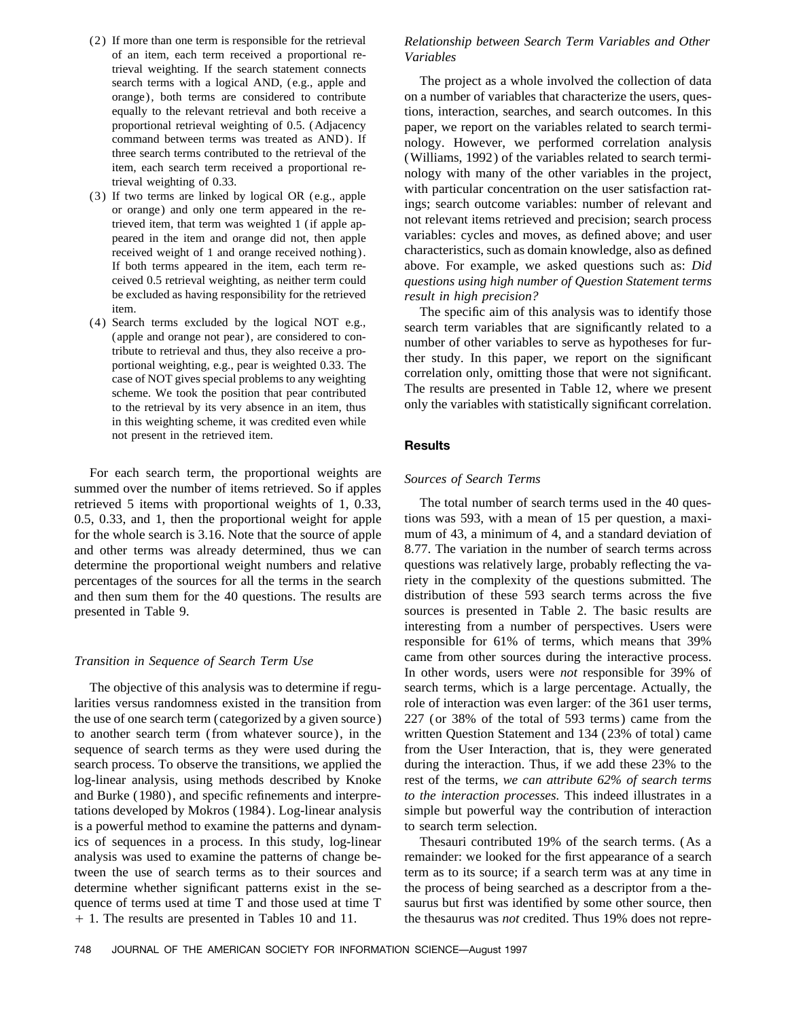- (2) If more than one term is responsible for the retrieval *Relationship between Search Term Variables and Other* of an item, each term received a proportional re- *Variables* trieval weighting. If the search statement connects
- be excluded as having responsibility for the retrieved *result in high precision?*
- in this weighting scheme, it was credited even while not present in the retrieved item. **Results**

For each search term, the proportional weights are *Sources of Search Terms* summed over the number of items retrieved. So if apples retrieved 5 items with proportional weights of 1, 0.33, The total number of search terms used in the 40 ques-0.5, 0.33, and 1, then the proportional weight for apple tions was 593, with a mean of 15 per question, a maxifor the whole search is 3.16. Note that the source of apple mum of 43, a minimum of 4, and a standard deviation of and other terms was already determined, thus we can 8.77. The variation in the number of search terms across determine the proportional weight numbers and relative questions was relatively large, probably reflecting the vapercentages of the sources for all the terms in the search riety in the complexity of the questions submitted. The and then sum them for the 40 questions. The results are distribution of these 593 search terms across the five presented in Table 9. Sources is presented in Table 2. The basic results are

larities versus randomness existed in the transition from role of interaction was even larger: of the 361 user terms, the use of one search term (categorized by a given source) 227 (or 38% of the total of 593 terms) came from the to another search term (from whatever source), in the written Question Statement and 134 (23% of total) came sequence of search terms as they were used during the from the User Interaction, that is, they were generated search process. To observe the transitions, we applied the during the interaction. Thus, if we add these 23% to the log-linear analysis, using methods described by Knoke rest of the terms, *we can attribute 62% of search terms* and Burke (1980), and specific refinements and interpre- *to the interaction processes.* This indeed illustrates in a tations developed by Mokros (1984). Log-linear analysis simple but powerful way the contribution of interaction is a powerful method to examine the patterns and dynam- to search term selection. ics of sequences in a process. In this study, log-linear Thesauri contributed 19% of the search terms. (As a analysis was used to examine the patterns of change be- remainder: we looked for the first appearance of a search tween the use of search terms as to their sources and term as to its source; if a search term was at any time in determine whether significant patterns exist in the se- the process of being searched as a descriptor from a thequence of terms used at time  $T$  and those used at time  $T$  saurus but first was identified by some other source, then

search terms with a logical AND, (e.g., apple and The project as a whole involved the collection of data orange), both terms are considered to contribute on a number of variables that characterize the users, quesequally to the relevant retrieval and both receive a tions, interaction, searches, and search outcomes. In this proportional retrieval weighting of 0.5. (Adjacency paper, we report on the variables related to search termi-<br>command between terms was treated as AND). If nology However, we performed correlation analysis command between terms was treated as AND). If<br>three search terms contributed to the retrieval of the<br>item, each search term received a proportional re-<br>trieval weighting of 0.33.<br>(3) If two terms are linked by logical OR ( trieved item, that term was weighted 1 (if apple applement in the item and orange did not, then applement of variables: cycles and moves, as defined above; and user received weight of 1 and orange received nothing). characteristics, such as domain knowledge, also as defined If both terms appeared in the item, each term re- above. For example, we asked questions such as: *Did* ceived 0.5 retrieval weighting, as neither term could *questions using high number of Question Statement terms*

(4) Search terms excluded by the logical NOT e.g.,<br>
(apple and orange not pear), are considered to con-<br>
tribute to retrieval and thus, they also receive a pro-<br>
portional weighting, e.g., pear is weighted 0.33. The<br>
case

interesting from a number of perspectives. Users were responsible for 61% of terms, which means that 39% Transition in Sequence of Search Term Use came from other sources during the interactive process.<br>In other words, users were *not* responsible for 39% of The objective of this analysis was to determine if regu-<br>search terms, which is a large percentage. Actually, the

/ 1. The results are presented in Tables 10 and 11. the thesaurus was *not* credited. Thus 19% does not repre-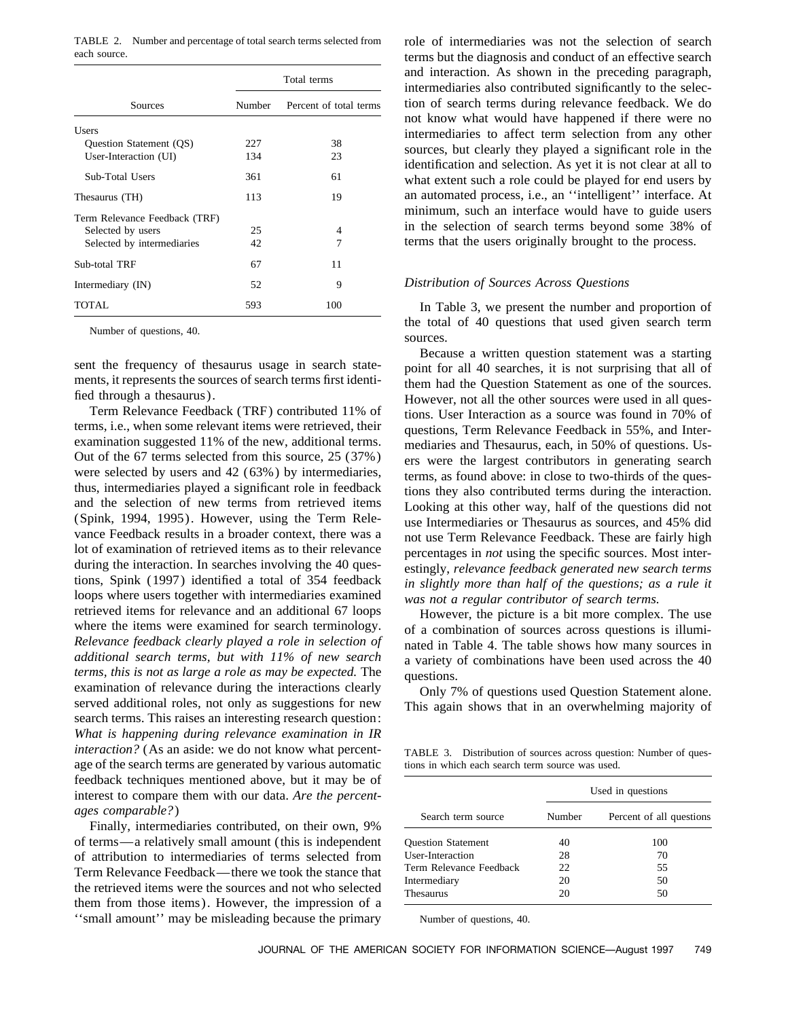TABLE 2. Number and percentage of total search terms selected from role of intermediaries was not the selection of search each source.

| Total terms |                        |  |  |
|-------------|------------------------|--|--|
| Number      | Percent of total terms |  |  |
|             |                        |  |  |
| 227         | 38                     |  |  |
| 134         | 23                     |  |  |
| 361         | 61                     |  |  |
| 113         | 19                     |  |  |
|             |                        |  |  |
| 25          | 4                      |  |  |
| 42          | $\overline{7}$         |  |  |
| 67          | 11                     |  |  |
| 52          | 9                      |  |  |
| 593         | 100                    |  |  |
|             |                        |  |  |

terms, i.e., when some relevant items were retrieved, their<br>examination suggested 11% of the new, additional terms.<br>Out of the 67 terms selected from this source, 25 (37%)<br>were selected by users and 42 (63%) by intermediar vance Feedback results in a broader context, there was a<br>
or the Term Relevance Feedback. These are fairly high<br>
or dexamination of retrieved items as to their relevance<br>
during the interaction. In search derms involving t *What is happening during relevance examination in IR interaction?* (As an aside: we do not know what percent-<br>
TABLE 3. Distribution of sources across question: Number of quesage of the search terms are generated by various automatic tions in which each search term source was used. feedback techniques mentioned above, but it may be of interest to compare them with our data. *Are the percentages comparable?*)<br>Finally, intermediaries contributed, on their own, 9%

of terms—a relatively small amount (this is independent of attribution to intermediaries of terms selected from Term Relevance Feedback—there we took the stance that the retrieved items were the sources and not who selected them from those items). However, the impression of a ''small amount'' may be misleading because the primary Number of questions, 40.

terms but the diagnosis and conduct of an effective search and interaction. As shown in the preceding paragraph, intermediaries also contributed significantly to the selection of search terms during relevance feedback. We do not know what would have happened if there were no intermediaries to affect term selection from any other<br>sources, but clearly they played a significant role in the<br>identification and selection. As yet it is not clear at all to what extent such a role could be played for end users by an automated process, i.e., an "intelligent" interface. At minimum, such an interface would have to guide users in the selection of search terms beyond some 38% of terms that the users originally brought to the process.

### **Distribution of Sources Across Questions**

In Table 3, we present the number and proportion of Number of questions, 40. Sources.<br>Sources.

Secause a written question statement was a starting<br>ments, it represents the sources of search terms first identi-<br>fied through a thesaurus).<br>However not all the other sources were used in all quesfied through a thesaurus).<br>
Term Relevance Feedback (TRF) contributed 11% of terms. User Interaction as a source was found in 70% of terms, i.e., when some relevant items were retrieved, their questions. Term Relevance Fee

|                           | Used in questions |                          |  |  |
|---------------------------|-------------------|--------------------------|--|--|
| Search term source        | Number            | Percent of all questions |  |  |
| <b>Ouestion Statement</b> | 40                | 100                      |  |  |
| User-Interaction          | 28                | 70                       |  |  |
| Term Relevance Feedback   | 22                | 55                       |  |  |
| Intermediary              | 20                | 50                       |  |  |
| Thesaurus                 | 20                | 50                       |  |  |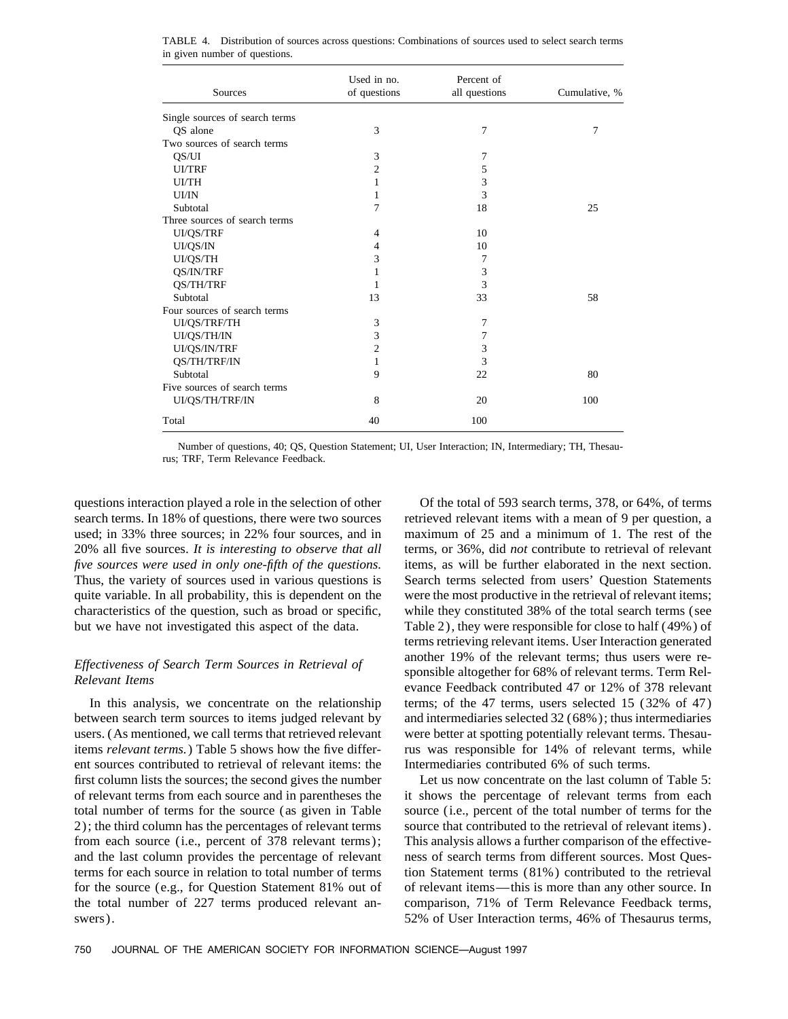| Sources                        | Used in no.<br>of questions | Percent of<br>all questions | Cumulative, % |
|--------------------------------|-----------------------------|-----------------------------|---------------|
| Single sources of search terms |                             |                             |               |
| QS alone                       | 3                           | 7                           | 7             |
| Two sources of search terms    |                             |                             |               |
| QS/UI                          | 3                           | 7                           |               |
| <b>UI/TRF</b>                  | 2                           | 5                           |               |
| <b>UI/TH</b>                   | 1                           | 3                           |               |
| UI/IN                          | 1                           | 3                           |               |
| Subtotal                       | 7                           | 18                          | 25            |
| Three sources of search terms  |                             |                             |               |
| UI/QS/TRF                      | $\overline{4}$              | 10                          |               |
| UI/QS/IN                       | 4                           | 10                          |               |
| UI/QS/TH                       | 3                           | 7                           |               |
| QS/IN/TRF                      | 1                           | 3                           |               |
| QS/TH/TRF                      | 1                           | 3                           |               |
| Subtotal                       | 13                          | 33                          | 58            |
| Four sources of search terms   |                             |                             |               |
| UI/QS/TRF/TH                   | 3                           | 7                           |               |
| UI/QS/TH/IN                    | 3                           | 7                           |               |
| UI/QS/IN/TRF                   | $\overline{2}$              | 3                           |               |
| QS/TH/TRF/IN                   | 1                           | 3                           |               |
| Subtotal                       | 9                           | 22                          | 80            |
| Five sources of search terms   |                             |                             |               |
| UI/QS/TH/TRF/IN                | 8                           | 20                          | 100           |
| Total                          | 40                          | 100                         |               |

| TABLE 4. Distribution of sources across questions: Combinations of sources used to select search terms |  |  |  |
|--------------------------------------------------------------------------------------------------------|--|--|--|
| in given number of questions.                                                                          |  |  |  |

Number of questions, 40; QS, Question Statement; UI, User Interaction; IN, Intermediary; TH, Thesaurus; TRF, Term Relevance Feedback.

search terms. In 18% of questions, there were two sources retrieved relevant items with a mean of 9 per question, a used; in 33% three sources; in 22% four sources, and in maximum of 25 and a minimum of 1. The rest of the 20% all five sources. *It is interesting to observe that all* terms, or 36%, did *not* contribute to retrieval of relevant *five sources were used in only one-fifth of the questions.* items, as will be further elaborated in the next section. Thus, the variety of sources used in various questions is Search terms selected from users' Question Statements quite variable. In all probability, this is dependent on the were the most productive in the retrieval of relevant items; characteristics of the question, such as broad or specific, while they constituted 38% of the total search terms (see but we have not investigated this aspect of the data. Table 2), they were responsible for close to half (49%) of

between search term sources to items judged relevant by and intermediaries selected 32 (68%); thus intermediaries users. (As mentioned, we call terms that retrieved relevant were better at spotting potentially relevant terms. Thesauitems *relevant terms.*) Table 5 shows how the five differ- rus was responsible for 14% of relevant terms, while ent sources contributed to retrieval of relevant items: the Intermediaries contributed 6% of such terms. first column lists the sources; the second gives the number Let us now concentrate on the last column of Table 5: of relevant terms from each source and in parentheses the it shows the percentage of relevant terms from each total number of terms for the source (as given in Table source (i.e., percent of the total number of terms for the 2); the third column has the percentages of relevant terms source that contributed to the retrieval of relevant items). from each source (i.e., percent of 378 relevant terms); This analysis allows a further comparison of the effectiveand the last column provides the percentage of relevant ness of search terms from different sources. Most Questerms for each source in relation to total number of terms tion Statement terms (81%) contributed to the retrieval for the source (e.g., for Question Statement 81% out of of relevant items—this is more than any other source. In the total number of 227 terms produced relevant an- comparison, 71% of Term Relevance Feedback terms, swers). 52% of User Interaction terms, 46% of Thesaurus terms,

questions interaction played a role in the selection of other Of the total of 593 search terms, 378, or 64%, of terms terms retrieving relevant items. User Interaction generated Effectiveness of Search Term Sources in Retrieval of another 19% of the relevant terms; thus users were re-<br>Relevant Items Term Rel-<br>evance Feedback contributed 47 or 12% of 378 relevant In this analysis, we concentrate on the relationship terms; of the 47 terms, users selected 15 (32% of 47)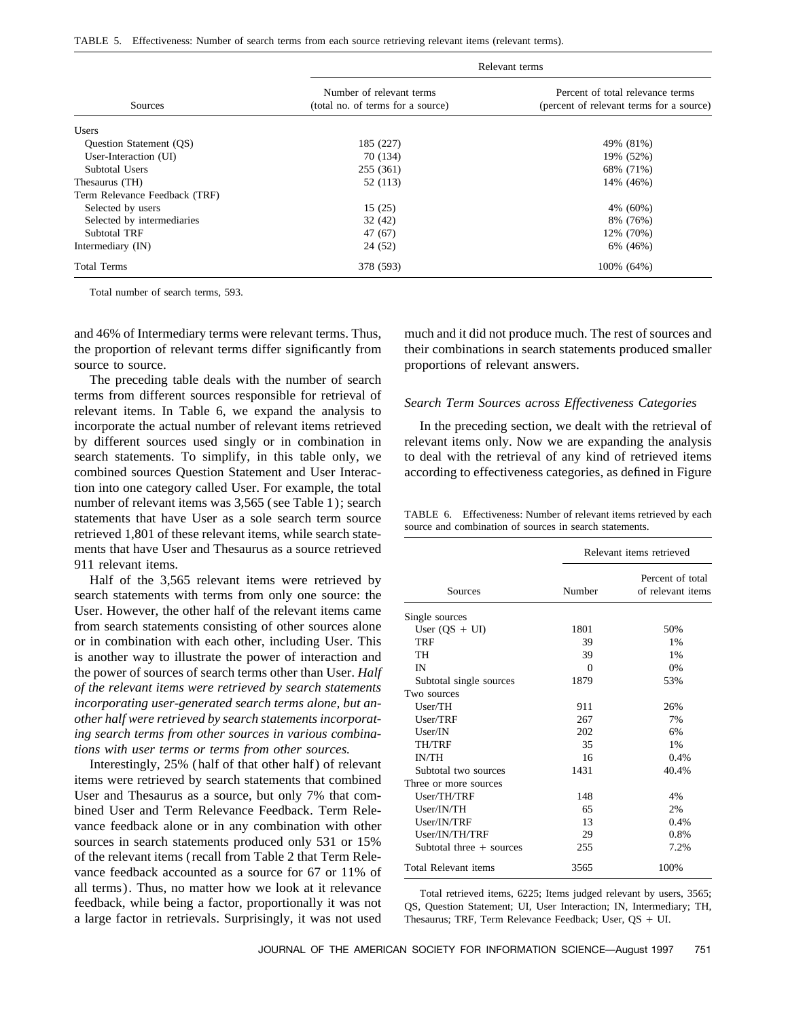TABLE 5. Effectiveness: Number of search terms from each source retrieving relevant items (relevant terms).

|                                | Relevant terms                                                |                                                                              |  |
|--------------------------------|---------------------------------------------------------------|------------------------------------------------------------------------------|--|
| Sources                        | Number of relevant terms<br>(total no. of terms for a source) | Percent of total relevance terms<br>(percent of relevant terms for a source) |  |
| <b>Users</b>                   |                                                               |                                                                              |  |
| <b>Ouestion Statement (OS)</b> | 185 (227)                                                     | 49% (81%)                                                                    |  |
| User-Interaction (UI)          | 70 (134)                                                      | 19% (52%)                                                                    |  |
| Subtotal Users                 | 255 (361)                                                     | 68% (71%)                                                                    |  |
| Thesaurus (TH)                 | 52 (113)                                                      | 14% (46%)                                                                    |  |
| Term Relevance Feedback (TRF)  |                                                               |                                                                              |  |
| Selected by users              | 15(25)                                                        | 4% (60%)                                                                     |  |
| Selected by intermediaries     | 32(42)                                                        | 8% (76%)                                                                     |  |
| Subtotal TRF                   | 47 (67)                                                       | 12% (70%)                                                                    |  |
| Intermediary (IN)              | 24 (52)                                                       | 6% (46%)                                                                     |  |
| <b>Total Terms</b>             | 378 (593)                                                     | 100% (64%)                                                                   |  |

Total number of search terms, 593.

the proportion of relevant terms differ significantly from their combinations in search statements produced smaller source to source. **proportions** of relevant answers.

The preceding table deals with the number of search terms from different sources responsible for retrieval of *Search Term Sources across Effectiveness Categories* relevant items. In Table 6, we expand the analysis to incorporate the actual number of relevant items retrieved In the preceding section, we dealt with the retrieval of by different sources used singly or in combination in relevant items only. Now we are expanding the analysis search statements. To simplify, in this table only, we to deal with the retrieval of any kind of retrieved items combined sources Question Statement and User Interac- according to effectiveness categories, as defined in Figure tion into one category called User. For example, the total number of relevant items was 3,565 (see Table 1); search Statements that have User as a sole search term source TABLE 6. Effectiveness: Number of relevant items retrieved by each statements. retrieved 1,801 of these relevant items, while search statements that have User and Thesaurus as a source retrieved 911 relevant items.

Half of the  $3,565$  relevant items were retrieved by search statements with terms from only one source: the User. However, the other half of the relevant items came from search statements consisting of other sources alone or in combination with each other, including User. This is another way to illustrate the power of interaction and the power of sources of search terms other than User. *Half* of the relevant items were retrieved by search statements *incorporating user-generated search terms alone, but another half were retrieved by search statements incorporat*ing search terms from other sources in various combina*tions with user terms or terms from other sources.* Interestingly, 25% (half of that other half) of relevant

items were retrieved by search statements that combined User and Thesaurus as a source, but only 7% that combined User and Term Relevance Feedback. Term Relevance feedback alone or in any combination with other sources in search statements produced only 531 or 15% of the relevant items (recall from Table 2 that Term Relevance feedback accounted as a source for 67 or 11% of all terms). Thus, no matter how we look at it relevance<br>feedback, while being a factor, proportionally it was not constant and a statement; UI, User Interaction; IN, Intermediary; TH, a large factor in retrievals. Surprisingly, it was not used Thesaurus; TRF, Term Relevance Feedback; User, QS + UI.

and 46% of Intermediary terms were relevant terms. Thus, much and it did not produce much. The rest of sources and

|                          | Relevant items retrieved |                                       |  |
|--------------------------|--------------------------|---------------------------------------|--|
| Sources                  | Number                   | Percent of total<br>of relevant items |  |
| Single sources           |                          |                                       |  |
| User $(QS + UI)$         | 1801                     | 50%                                   |  |
| <b>TRF</b>               | 39                       | 1%                                    |  |
| TH                       | 39                       | 1%                                    |  |
| IN                       | $\theta$                 | 0%                                    |  |
| Subtotal single sources  | 1879                     | 53%                                   |  |
| Two sources              |                          |                                       |  |
| User/TH                  | 911                      | 26%                                   |  |
| User/TRF                 | 267                      | 7%                                    |  |
| User/IN                  | 202                      | 6%                                    |  |
| TH/TRF                   | 35                       | 1%                                    |  |
| <b>IN/TH</b>             | 16                       | 0.4%                                  |  |
| Subtotal two sources     | 1431                     | 40.4%                                 |  |
| Three or more sources    |                          |                                       |  |
| User/TH/TRF              | 148                      | 4%                                    |  |
| User/IN/TH               | 65                       | 2%                                    |  |
| User/IN/TRF              | 13                       | 0.4%                                  |  |
| User/IN/TH/TRF           | 29                       | 0.8%                                  |  |
| Subtotal three + sources | 255                      | 7.2%                                  |  |
| Total Relevant items     | 3565                     | 100%                                  |  |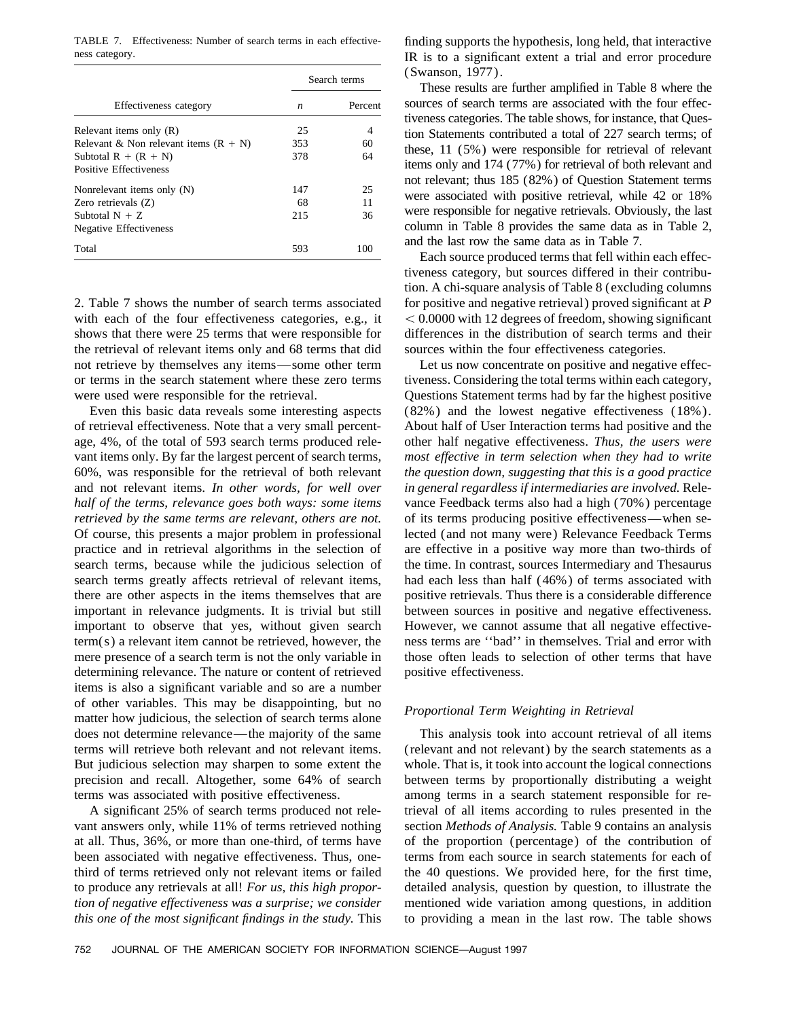TABLE 7. Effectiveness: Number of search terms in each effective- finding supports the hypothesis, long held, that interactive

|                                         | Search terms |         |  |
|-----------------------------------------|--------------|---------|--|
| Effectiveness category                  | n            | Percent |  |
| Relevant items only $(R)$               | 25           |         |  |
| Relevant & Non relevant items $(R + N)$ | 353          | 60      |  |
| Subtotal $R + (R + N)$                  | 378          | 64      |  |
| <b>Positive Effectiveness</b>           |              |         |  |
| Nonrelevant items only (N)              | 147          | 25      |  |
| Zero retrievals (Z)                     | 68           | 11      |  |
| Subtotal $N + Z$                        | 215          | 36      |  |
| Negative Effectiveness                  |              |         |  |
| Total                                   | 593          | 100     |  |

with each of the four effectiveness categories, e.g., it  $\leq 0.0000$  with 12 degrees of freedom, showing significant shows that there were 25 terms that were responsible for differences in the distribution of search terms and their the retrieval of relevant items only and 68 terms that did sources within the four effectiveness categories. not retrieve by themselves any items—some other term Let us now concentrate on positive and negative effecor terms in the search statement where these zero terms tiveness. Considering the total terms within each category, were used were responsible for the retrieval. Questions Statement terms had by far the highest positive

of retrieval effectiveness. Note that a very small percent- About half of User Interaction terms had positive and the age, 4%, of the total of 593 search terms produced rele- other half negative effectiveness. *Thus, the users were* vant items only. By far the largest percent of search terms, *most effective in term selection when they had to write* 60%, was responsible for the retrieval of both relevant *the question down, suggesting that this is a good practice* and not relevant items. *In other words, for well over in general regardless if intermediaries are involved.* Rele*half of the terms, relevance goes both ways: some items* vance Feedback terms also had a high (70%) percentage *retrieved by the same terms are relevant, others are not.* of its terms producing positive effectiveness—when se-Of course, this presents a major problem in professional lected (and not many were) Relevance Feedback Terms practice and in retrieval algorithms in the selection of are effective in a positive way more than two-thirds of search terms, because while the judicious selection of the time. In contrast, sources Intermediary and Thesaurus search terms greatly affects retrieval of relevant items, had each less than half (46%) of terms associated with there are other aspects in the items themselves that are positive retrievals. Thus there is a considerable difference important in relevance judgments. It is trivial but still between sources in positive and negative effectiveness. important to observe that yes, without given search However, we cannot assume that all negative effectiveterm(s) a relevant item cannot be retrieved, however, the ness terms are ''bad'' in themselves. Trial and error with mere presence of a search term is not the only variable in those often leads to selection of other terms that have determining relevance. The nature or content of retrieved positive effectiveness. items is also a significant variable and so are a number of other variables. This may be disappointing, but no *Proportional Term Weighting in Retrieval* matter how judicious, the selection of search terms alone does not determine relevance—the majority of the same This analysis took into account retrieval of all items terms will retrieve both relevant and not relevant items. (relevant and not relevant) by the search statements as a But judicious selection may sharpen to some extent the whole. That is, it took into account the logical connections precision and recall. Altogether, some 64% of search between terms by proportionally distributing a weight terms was associated with positive effectiveness. among terms in a search statement responsible for re-

vant answers only, while 11% of terms retrieved nothing section *Methods of Analysis*. Table 9 contains an analysis at all. Thus, 36%, or more than one-third, of terms have of the proportion (percentage) of the contribution of been associated with negative effectiveness. Thus, one- terms from each source in search statements for each of third of terms retrieved only not relevant items or failed the 40 questions. We provided here, for the first time, to produce any retrievals at all! *For us, this high propor-* detailed analysis, question by question, to illustrate the *tion of negative effectiveness was a surprise; we consider* mentioned wide variation among questions, in addition *this one of the most significant findings in the study.* This to providing a mean in the last row. The table shows

ness category. IR is to a significant extent a trial and error procedure (Swanson, 1977).<br>These results are further amplified in Table 8 where the

sources of search terms are associated with the four effectiveness categories. The table shows, for instance, that Question Statements contributed a total of  $227$  search terms; of these, 11 (5%) were responsible for retrieval of relevant items only and  $174$  (77%) for retrieval of both relevant and not relevant; thus  $185$  (82%) of Quest were associated with positive retrieval, while 42 or 18% were responsible for negative retrievals. Obviously, the last column in Table 8 provides the same data as in Table 2, and the last row the same data as in Table 7.<br>Each source produced terms that fell within each effec-

tiveness category, but sources differed in their contribution. A chi-square analysis of Table 8 (excluding columns 2. Table 7 shows the number of search terms associated for positive and negative retrieval) proved significant at *P* 

Even this basic data reveals some interesting aspects (82%) and the lowest negative effectiveness (18%).

A significant 25% of search terms produced not rele- trieval of all items according to rules presented in the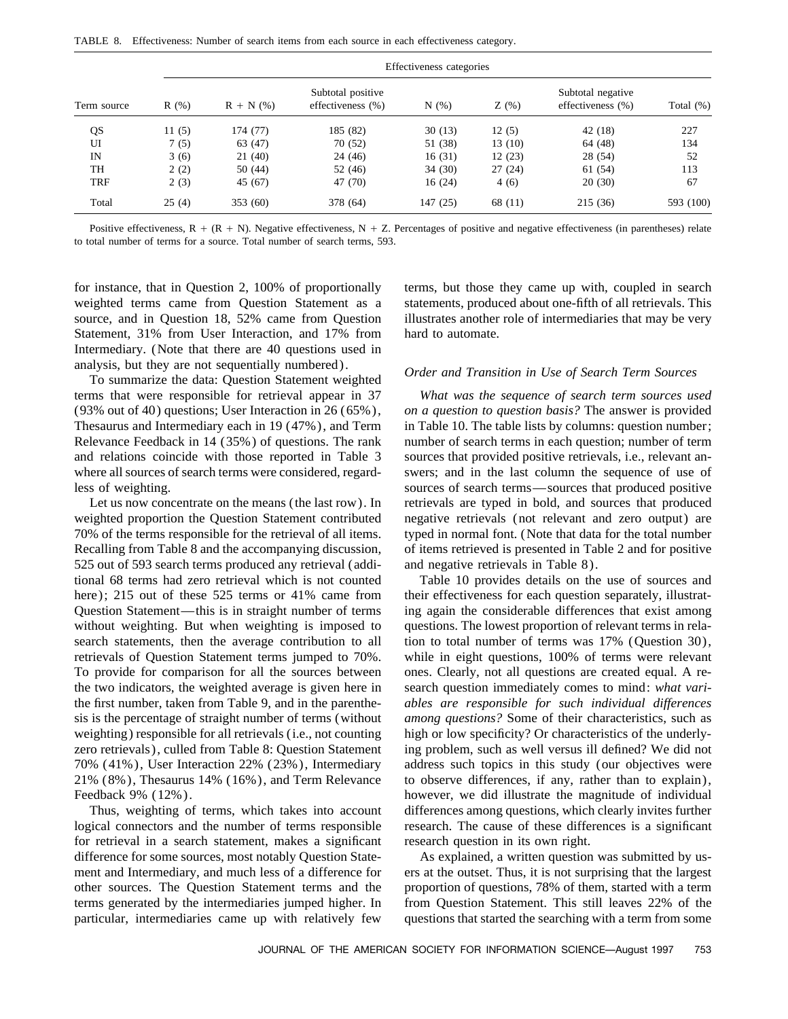TABLE 8. Effectiveness: Number of search items from each source in each effectiveness category.

| Term source |       |             |                                            | Effectiveness categories |         |                                        |              |
|-------------|-------|-------------|--------------------------------------------|--------------------------|---------|----------------------------------------|--------------|
|             | R(% ) | $R + N$ (%) | Subtotal positive<br>effectiveness $(\% )$ | N(% )                    | Z(%)    | Subtotal negative<br>effectiveness (%) | Total $(\%)$ |
| QS          | 11(5) | 174 (77)    | 185 (82)                                   | 30(13)                   | 12(5)   | 42 (18)                                | 227          |
| UI          | 7(5)  | 63 (47)     | 70 (52)                                    | 51 (38)                  | 13(10)  | 64 (48)                                | 134          |
| IN          | 3(6)  | 21 (40)     | 24 (46)                                    | 16(31)                   | 12(23)  | 28 (54)                                | 52           |
| <b>TH</b>   | 2(2)  | 50 (44)     | 52 (46)                                    | 34(30)                   | 27(24)  | 61 (54)                                | 113          |
| <b>TRF</b>  | 2(3)  | 45 (67)     | 47 (70)                                    | 16(24)                   | 4(6)    | 20(30)                                 | 67           |
| Total       | 25(4) | 353 (60)    | 378 (64)                                   | 147(25)                  | 68 (11) | 215(36)                                | 593 (100)    |

Positive effectiveness,  $R + (R + N)$ . Negative effectiveness,  $N + Z$ . Percentages of positive and negative effectiveness (in parentheses) relate to total number of terms for a source. Total number of search terms, 593.

weighted terms came from Question Statement as a statements, produced about one-fifth of all retrievals. This source, and in Question 18, 52% came from Question illustrates another role of intermediaries that may be very Statement, 31% from User Interaction, and 17% from hard to automate. Intermediary. (Note that there are 40 questions used in analysis, but they are not sequentially numbered). *Order and Transition in Use of Search Term Sources* To summarize the data: Question Statement weighted

terms that were responsible for retrieval appear in 37 *What was the sequence of search term sources used* (93% out of 40) questions; User Interaction in 26 (65%), *on a question to question basis?* The answer is provided Thesaurus and Intermediary each in 19 (47%), and Term in Table 10. The table lists by columns: question number; Relevance Feedback in 14 (35%) of questions. The rank number of search terms in each question; number of term and relations coincide with those reported in Table 3 sources that provided positive retrievals, i.e., relevant anwhere all sources of search terms were considered, regard-<br>swers; and in the last column the sequence of use of less of weighting. sources of search terms—sources that produced positive

weighted proportion the Question Statement contributed negative retrievals (not relevant and zero output) are 70% of the terms responsible for the retrieval of all items. typed in normal font. (Note that data for the total number Recalling from Table 8 and the accompanying discussion, of items retrieved is presented in Table 2 and for positive 525 out of 593 search terms produced any retrieval (addi- and negative retrievals in Table 8). tional 68 terms had zero retrieval which is not counted Table 10 provides details on the use of sources and here); 215 out of these 525 terms or 41% came from their effectiveness for each question separately, illustrat-Question Statement—this is in straight number of terms ing again the considerable differences that exist among without weighting. But when weighting is imposed to questions. The lowest proportion of relevant terms in relasearch statements, then the average contribution to all tion to total number of terms was 17% (Question 30), retrievals of Question Statement terms jumped to 70%. while in eight questions, 100% of terms were relevant To provide for comparison for all the sources between ones. Clearly, not all questions are created equal. A rethe two indicators, the weighted average is given here in search question immediately comes to mind: *what vari*the first number, taken from Table 9, and in the parenthe- *ables are responsible for such individual differences* sis is the percentage of straight number of terms (without *among questions?* Some of their characteristics, such as weighting) responsible for all retrievals (i.e., not counting high or low specificity? Or characteristics of the underlyzero retrievals), culled from Table 8: Question Statement ing problem, such as well versus ill defined? We did not 70% (41%), User Interaction 22% (23%), Intermediary address such topics in this study (our objectives were 21% (8%), Thesaurus 14% (16%), and Term Relevance to observe differences, if any, rather than to explain), Feedback 9% (12%). however, we did illustrate the magnitude of individual

logical connectors and the number of terms responsible research. The cause of these differences is a significant for retrieval in a search statement, makes a significant research question in its own right. difference for some sources, most notably Question State- As explained, a written question was submitted by usment and Intermediary, and much less of a difference for ers at the outset. Thus, it is not surprising that the largest other sources. The Question Statement terms and the proportion of questions, 78% of them, started with a term terms generated by the intermediaries jumped higher. In from Question Statement. This still leaves 22% of the particular, intermediaries came up with relatively few questions that started the searching with a term from some

for instance, that in Question 2, 100% of proportionally terms, but those they came up with, coupled in search

Let us now concentrate on the means (the last row). In retrievals are typed in bold, and sources that produced

Thus, weighting of terms, which takes into account differences among questions, which clearly invites further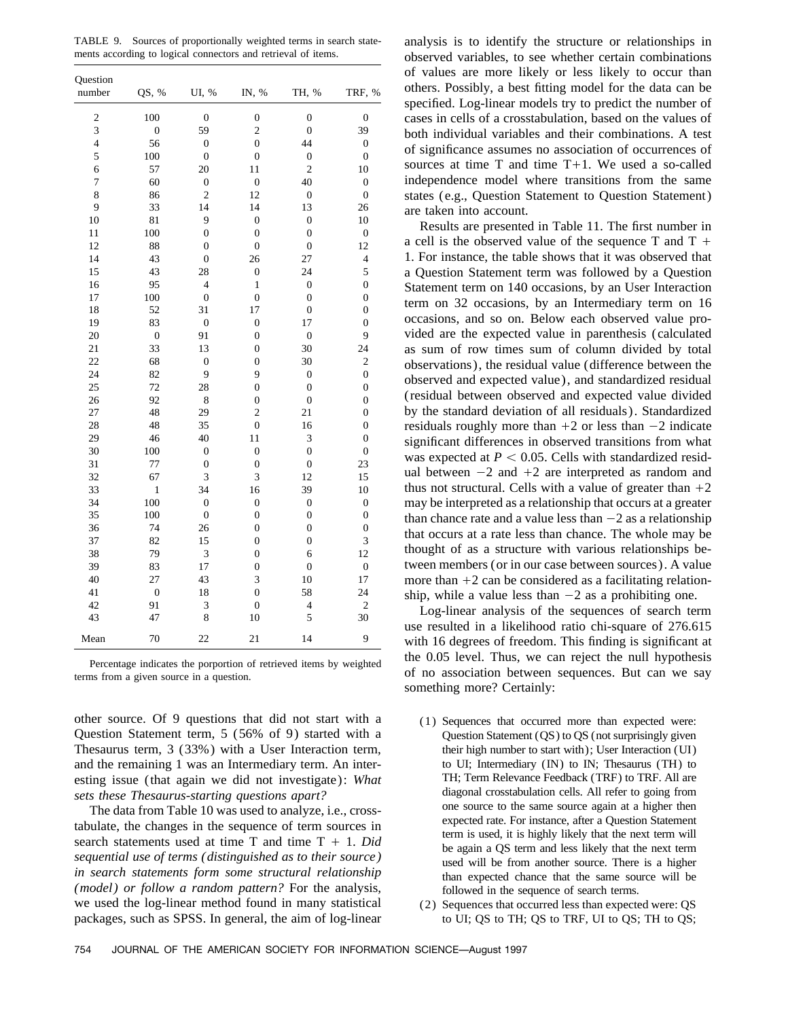TABLE 9. Sources of proportionally weighted terms in search state-<br>malysis is to identify the structure or relationships in<br>ments according to logical connectors and retrieval of items.

| Question<br>number      | QS, %            | UI, %            | IN, %            | TH, %            | TRF, %                  |
|-------------------------|------------------|------------------|------------------|------------------|-------------------------|
|                         |                  |                  |                  |                  |                         |
| $\overline{\mathbf{c}}$ | 100              | $\boldsymbol{0}$ | $\boldsymbol{0}$ | $\overline{0}$   | $\boldsymbol{0}$        |
| 3                       | $\boldsymbol{0}$ | 59               | $\overline{c}$   | $\overline{0}$   | 39                      |
| $\overline{\mathbf{4}}$ | 56               | $\boldsymbol{0}$ | $\overline{0}$   | 44               | $\boldsymbol{0}$        |
| 5                       | 100              | $\boldsymbol{0}$ | $\boldsymbol{0}$ | $\boldsymbol{0}$ | $\boldsymbol{0}$        |
| 6                       | 57               | 20               | 11               | $\overline{c}$   | 10                      |
| $\overline{7}$          | 60               | $\boldsymbol{0}$ | $\boldsymbol{0}$ | 40               | $\boldsymbol{0}$        |
| 8                       | 86               | $\overline{c}$   | 12               | $\boldsymbol{0}$ | $\boldsymbol{0}$        |
| 9                       | 33               | 14               | 14               | 13               | 26                      |
| 10                      | 81               | 9                | $\boldsymbol{0}$ | $\boldsymbol{0}$ | 10                      |
| 11                      | 100              | $\boldsymbol{0}$ | $\boldsymbol{0}$ | $\boldsymbol{0}$ | $\boldsymbol{0}$        |
| 12                      | 88               | $\boldsymbol{0}$ | $\boldsymbol{0}$ | $\boldsymbol{0}$ | 12                      |
| 14                      | 43               | $\mathbf{0}$     | 26               | 27               | 4                       |
| 15                      | 43               | 28               | $\overline{0}$   | 24               | 5                       |
| 16                      | 95               | $\overline{4}$   | $\mathbf{1}$     | $\boldsymbol{0}$ | $\overline{0}$          |
| 17                      | 100              | $\boldsymbol{0}$ | $\boldsymbol{0}$ | $\overline{0}$   | $\overline{0}$          |
| 18                      | 52               | 31               | 17               | $\boldsymbol{0}$ | $\overline{0}$          |
| 19                      | 83               | $\boldsymbol{0}$ | $\boldsymbol{0}$ | 17               | $\overline{0}$          |
| 20                      | $\boldsymbol{0}$ | 91               | $\overline{0}$   | $\overline{0}$   | 9                       |
| 21                      | 33               | 13               | $\overline{0}$   | 30               | 24                      |
| 22                      | 68               | $\boldsymbol{0}$ | $\overline{0}$   | 30               | $\overline{\mathbf{c}}$ |
| 24                      | 82               | 9                | 9                | $\boldsymbol{0}$ | $\overline{0}$          |
| 25                      | 72               | 28               | $\boldsymbol{0}$ | $\boldsymbol{0}$ | $\boldsymbol{0}$        |
| 26                      | 92               | $\,$ 8 $\,$      | $\boldsymbol{0}$ | $\boldsymbol{0}$ | $\boldsymbol{0}$        |
| 27                      | 48               | 29               | $\overline{c}$   | 21               | $\boldsymbol{0}$        |
| 28                      | 48               | 35               | $\boldsymbol{0}$ | 16               | $\boldsymbol{0}$        |
| 29                      | 46               | 40               | 11               | 3                | $\boldsymbol{0}$        |
| 30                      | 100              | $\boldsymbol{0}$ | $\mathbf{0}$     | $\overline{0}$   | $\mathbf{0}$            |
| 31                      | $77 \,$          | $\boldsymbol{0}$ | $\overline{0}$   | $\boldsymbol{0}$ | 23                      |
| 32                      | 67               | 3                | 3                | 12               | 15                      |
| 33                      | $\mathbf{1}$     | 34               | 16               | 39               | 10                      |
| 34                      | 100              | $\overline{0}$   | $\overline{0}$   | $\boldsymbol{0}$ | $\boldsymbol{0}$        |
| 35                      | 100              | $\boldsymbol{0}$ | $\overline{0}$   | $\overline{0}$   | $\boldsymbol{0}$        |
| 36                      | 74               | 26               | $\mathbf 0$      | $\mathbf{0}$     | $\boldsymbol{0}$        |
| 37                      | 82               | 15               | $\overline{0}$   | $\mathbf{0}$     | 3                       |
| 38                      | 79               | 3                | $\boldsymbol{0}$ | 6                | 12                      |
| 39                      | 83               | 17               | $\boldsymbol{0}$ | $\boldsymbol{0}$ | $\boldsymbol{0}$        |
| 40                      | 27               | 43               | 3                | 10               | 17                      |
| 41                      | $\boldsymbol{0}$ | 18               | $\overline{0}$   | 58               | 24                      |
| 42                      | 91               | 3                | $\boldsymbol{0}$ | $\overline{4}$   | $\overline{c}$          |
| 43                      | 47               | 8                | 10               | 5                | 30                      |
| Mean                    | 70               | 22               | 21               | 14               | 9                       |

other source. Of 9 questions that did not start with a (1) Sequences that occurred more than expected were: Question Statement term, 5 (56% of 9) started with a Question Statement (QS) to QS (not surprisingly given Thesaurus term, 3 (33%) with a User Interaction term, their high number to start with); User Interaction (UI) and the remaining 1 was an Intermediary term. An inter- to UI; Intermediary (IN) to IN; Thesaurus (TH) to esting issue (that again we did not investigate): *What* TH; Term Relevance Feedback (TRF) to TRF. All are extractions and the sets these Thesaurus-starting questions and the metal of the diagonal crosstabulation cells. Al

The data from Table 10 was used to analyze, i.e., cross-<br>tabulate, the changes in the sequence of term sources in<br>search statements used at time T and time T + 1. Did<br>sequential use of terms (distinguished as to their sour *In search statements form some structural relationship* than expected chance that the same source will be *(model) or follow a random pattern?* For the analysis, followed in the sequence of search terms. we used the log-linear method found in many statistical (2) Sequences that occurred less than expected were: QS packages, such as SPSS. In general, the aim of log-linear to UI; QS to TH; QS to TRF, UI to QS; TH to QS;

observed variables, to see whether certain combinations. of values are more likely or less likely to occur than others. Possibly, a best fitting model for the data can be specified. Log-linear models try to predict the number of cases in cells of a crosstabulation, based on the values of both individual variables and their combinations. A test of significance assumes no association of occurrences of sources at time T and time T+1. We used a so-called independence model where transitions from the same states (e.g., Question Statement to Question Statement) are taken into account.

Results are presented in Table 11. The first number in a cell is the observed value of the sequence T and  $T +$ 1. For instance, the table shows that it was observed that a Question Statement term was followed by a Question Statement term on 140 occasions, by an User Interaction term on 32 occasions, by an Intermediary term on 16 occasions, and so on. Below each observed value provided are the expected value in parenthesis (calculated as sum of row times sum of column divided by total observations), the residual value (difference between the<br>observed and expected value), and standardized residual<br>(residual between observed and expected value divided by the standard deviation of all residuals). Standardized residuals roughly more than  $+2$  or less than  $-2$  indicate significant differences in observed transitions from what<br>was expected at  $P < 0.05$ . Cells with standardized resid-<br>ual between  $-2$  and  $+2$  are interpreted as random and thus not structural. Cells with a value of greater than  $+2$ may be interpreted as a relationship that occurs at a greater than chance rate and a value less than  $-2$  as a relationship<br>that occurs at a rate less than chance. The whole may be<br>thought of as a structure with various relationships between members (or in our case between sources). A value more than  $+2$  can be considered as a facilitating relation-

ship, while a value less than  $-2$  as a prohibiting one.<br>Log-linear analysis of the sequences of search term<br>use resulted in a likelihood ratio chi-square of 276.615 with 16 degrees of freedom. This finding is significant at Percentage indicates the porportion of retrieved items by weighted the 0.05 level. Thus, we can reject the null hypothesis of no association between sequences. But can we say terms from a given source in a question. something more? Certainly:

- *sets these Thesaurus-starting questions apart?* diagonal crosstabulation cells. All refer to going from<br>The data from Table 10 was used to analyze i.e. cross-<br>one source to the same source again at a higher then
	-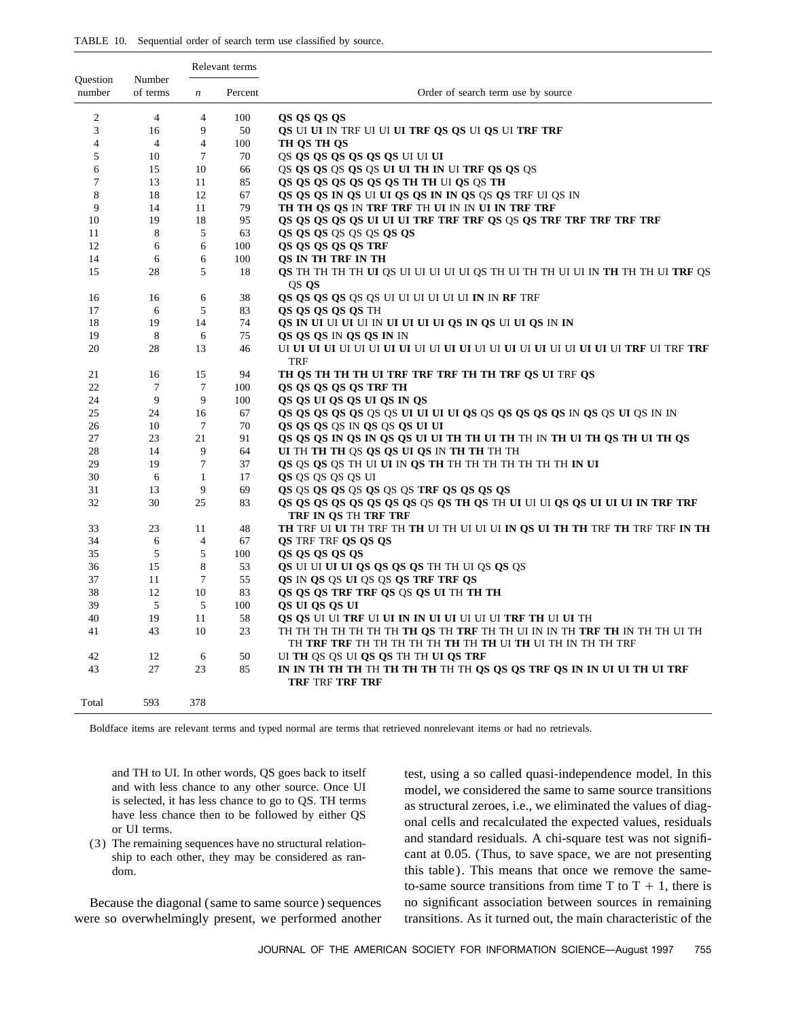| TABLE 10. Sequential order of search term use classified by source. |  |  |  |  |  |  |  |  |  |
|---------------------------------------------------------------------|--|--|--|--|--|--|--|--|--|
|---------------------------------------------------------------------|--|--|--|--|--|--|--|--|--|

|                    |                    | Relevant terms   |         |                                                                                                                                          |
|--------------------|--------------------|------------------|---------|------------------------------------------------------------------------------------------------------------------------------------------|
| Question<br>number | Number<br>of terms | $\boldsymbol{n}$ | Percent | Order of search term use by source                                                                                                       |
| $\overline{c}$     | $\overline{4}$     | $\overline{4}$   | 100     | QS QS QS QS                                                                                                                              |
| 3                  | 16                 | 9                | 50      | QS UI UI IN TRF UI UI UI TRF QS QS UI QS UI TRF TRF                                                                                      |
| 4                  | $\overline{4}$     | $\overline{4}$   | 100     | TH QS TH QS                                                                                                                              |
| 5                  | 10                 | 7                | 70      | QS QS QS QS QS QS QS UI UI UI                                                                                                            |
| 6                  | 15                 | 10               | 66      | QS QS QS QS QS QS UI UI TH IN UI TRF QS QS QS                                                                                            |
| 7                  | 13                 | 11               | 85      | QS QS QS QS QS QS QS TH TH UI QS QS TH                                                                                                   |
| 8                  | 18                 | 12               | 67      | QS QS QS IN QS UI UI QS QS IN IN QS QS QS TRF UI QS IN                                                                                   |
| 9                  | 14                 | 11               | 79      | TH TH QS QS IN TRF TRF TH UI IN IN UI IN TRF TRF                                                                                         |
| 10                 | 19                 | 18               | 95      | QS QS QS QS QS UI UI UI TRF TRF TRF QS QS QS TRF TRF TRF TRF TRF                                                                         |
| 11                 | 8                  | 5                | 63      | QS QS QS QS QS QS QS QS                                                                                                                  |
| 12                 | 6                  | 6                | 100     | QS QS QS QS QS TRF                                                                                                                       |
| 14                 | 6                  | 6                | 100     | <b>QS IN TH TRF IN TH</b>                                                                                                                |
| 15                 | 28                 | 5                | 18      | OS TH TH TH TH UI QS UI UI UI UI UI QS TH UI TH TH UI UI IN TH TH TH UI TRF QS<br>QS QS                                                  |
| 16                 | 16                 | 6                | 38      | QS QS QS QS QS QS UI UI UI UI UI UI IN IN RF TRF                                                                                         |
| 17                 | 6                  | 5                | 83      | QS QS QS QS QS TH                                                                                                                        |
| 18                 | 19                 | 14               | 74      | QS IN UI UI UI UI IN UI UI UI UI QS IN QS UI UI QS IN IN                                                                                 |
| 19                 | 8                  | 6                | 75      | QS QS QS IN QS QS IN IN                                                                                                                  |
| 20                 | 28                 | 13               | 46      | <b>TRF</b>                                                                                                                               |
| 21                 | 16                 | 15               | 94      | TH QS TH TH TH UI TRF TRF TRF TH TH TRF QS UI TRF QS                                                                                     |
| 22                 | 7                  | 7                | 100     | QS QS QS QS QS TRF TH                                                                                                                    |
| 24                 | 9                  | 9                | 100     | QS QS UI QS QS UI QS IN QS                                                                                                               |
| 25                 | 24                 | 16               | 67      | QS QS QS QS QS QS QS UI UI UI UI QS QS QS QS QS QS IN QS QS UI QS IN IN                                                                  |
| 26                 | 10                 | $\tau$           | 70      | QS QS QS QS IN QS QS QS UI UI                                                                                                            |
| 27                 | 23                 | 21               | 91      | QS QS QS IN QS IN QS QS UI UI TH TH UI TH TH IN TH UI TH QS TH UI TH QS                                                                  |
| 28                 | 14                 | 9                | 64      | UI TH TH TH QS QS QS UI QS IN TH TH TH TH                                                                                                |
| 29                 | 19                 | $\overline{7}$   | 37      | QS QS QS QS THUI UI IN QS TH TH TH TH TH TH TH TH IN UI                                                                                  |
| 30                 | 6                  | $\mathbf{1}$     | 17      | QS QS QS QS QS UI                                                                                                                        |
| 31                 | 13                 | 9                | 69      | QS QS QS QS QS QS QS QS TRF QS QS QS QS                                                                                                  |
| 32                 | 30                 | 25               | 83      | QS QS QS QS QS QS QS QS QS QS QS TH QS TH UI UI UI US QS UI UI UI IN TRF TRF<br>TRF IN QS TH TRF TRF                                     |
| 33                 | 23                 | 11               | 48      | TH TRF UI UI TH TRF TH TH UI TH UI UI UI IN OS UI TH TH TRF TH TRF TRF IN TH                                                             |
| 34                 | 6                  | 4                | 67      | <b>QS TRF TRF QS QS QS</b>                                                                                                               |
| 35                 | 5                  | 5                | 100     | OS OS OS OS OS                                                                                                                           |
| 36                 | 15                 | 8                | 53      | QS UI UI UI UI QS QS QS QS TH TH UI QS QS QS                                                                                             |
| 37                 | 11                 | $\tau$           | 55      | QS IN QS QS UI QS QS QS TRF TRF QS                                                                                                       |
| 38                 | 12                 | 10               | 83      | QS QS QS TRF TRF QS QS QS UI TH TH TH                                                                                                    |
| 39                 | 5                  | 5                | 100     | QS UI QS QS UI                                                                                                                           |
| 40                 | 19                 | 11               | 58      | QS QS UI UI TRF UI UI IN IN UI UI UI UI UI TRF TH UI UI TH                                                                               |
| 41                 | 43                 | 10               | 23      | TH TH TH TH TH TH TH TH OS TH TRF TH TH UI IN IN TH TRF TH IN TH TH UI TH<br>TH TRF TRF TH TH TH TH TH TH TH TH UI TH UI TH IN TH TH TRF |
| 42                 | 12                 | 6                | 50      | UI TH QS QS UI QS QS TH TH UI QS TRF                                                                                                     |
| 43                 | 27                 | 23               | 85      | IN IN TH TH TH TH TH TH TH TH TH CS QS QS TRF QS IN IN UI UI TH UI TRF<br>TRF TRF TRF TRF                                                |
| Total              | 593                | 378              |         |                                                                                                                                          |

Boldface items are relevant terms and typed normal are terms that retrieved nonrelevant items or had no retrievals.

and TH to UI. In other words, QS goes back to itself test, using a so called quasi-independence model. In this and with less chance to any other source. Once UI model we considered the same to same source transitions and with less chance to any other source. Once UI model, we considered the same to same source transitions is selected, it has less chance to go to QS. TH terms is selected, it has less chance to go to QS. IH terms<br>have less chance then to be followed by either QS as structural zeroes, i.e., we eliminated the values of diag-<br>or UI terms. and standard residuals. A chi-square test was not signifi- (3) The remaining sequences have no structural relationship to each other, they may be considered as ran-<br>cant at 0.05. (Thus, to save space, we are not presenting dom. **this table**). This means that once we remove the sameto-same source transitions from time  $T$  to  $T + 1$ , there is Because the diagonal (same to same source) sequences no significant association between sources in remaining were so overwhelmingly present, we performed another transitions. As it turned out, the main characteristic of the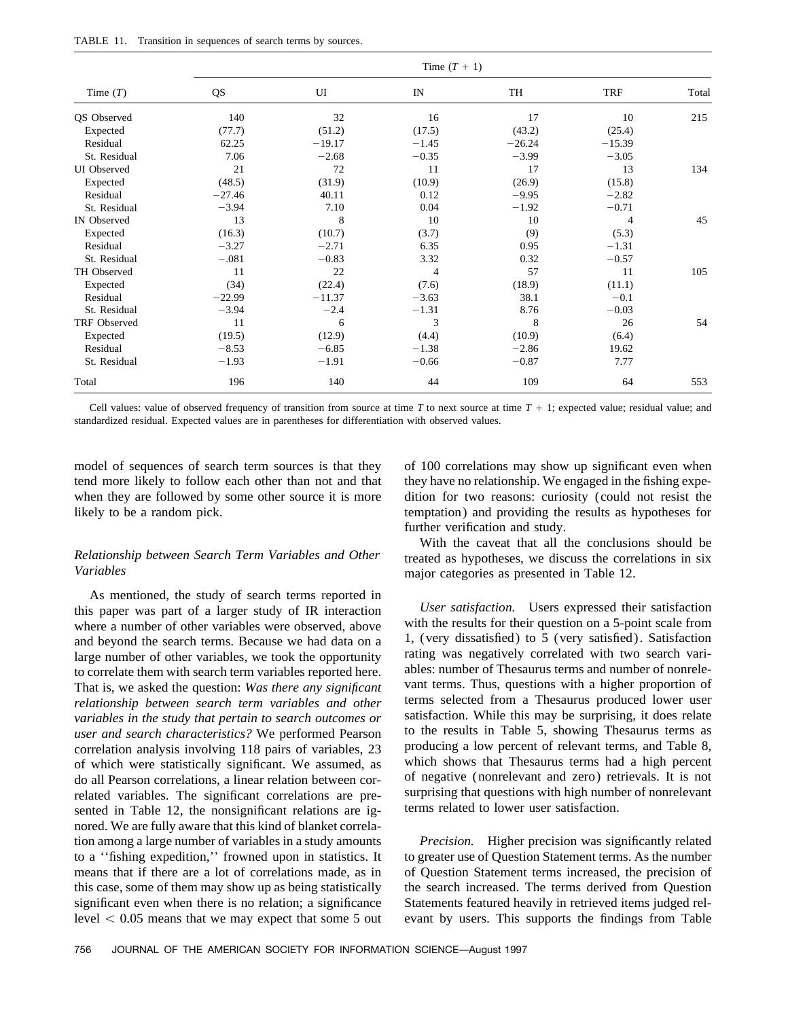| TABLE 11. Transition in sequences of search terms by sources. |  |  |  |  |  |
|---------------------------------------------------------------|--|--|--|--|--|
|---------------------------------------------------------------|--|--|--|--|--|

| Time $(T)$          | Time $(T + 1)$ |          |                |          |            |       |  |
|---------------------|----------------|----------|----------------|----------|------------|-------|--|
|                     | QS             | UI       | IN             | TH       | <b>TRF</b> | Total |  |
| QS Observed         | 140            | 32       | 16             | 17       | 10         | 215   |  |
| Expected            | (77.7)         | (51.2)   | (17.5)         | (43.2)   | (25.4)     |       |  |
| Residual            | 62.25          | $-19.17$ | $-1.45$        | $-26.24$ | $-15.39$   |       |  |
| St. Residual        | 7.06           | $-2.68$  | $-0.35$        | $-3.99$  | $-3.05$    |       |  |
| <b>UI</b> Observed  | 21             | 72       | 11             | 17       | 13         | 134   |  |
| Expected            | (48.5)         | (31.9)   | (10.9)         | (26.9)   | (15.8)     |       |  |
| Residual            | $-27.46$       | 40.11    | 0.12           | $-9.95$  | $-2.82$    |       |  |
| St. Residual        | $-3.94$        | 7.10     | 0.04           | $-1.92$  | $-0.71$    |       |  |
| IN Observed         | 13             | 8        | 10             | 10       | 4          | 45    |  |
| Expected            | (16.3)         | (10.7)   | (3.7)          | (9)      | (5.3)      |       |  |
| Residual            | $-3.27$        | $-2.71$  | 6.35           | 0.95     | $-1.31$    |       |  |
| St. Residual        | $-.081$        | $-0.83$  | 3.32           | 0.32     | $-0.57$    |       |  |
| TH Observed         | 11             | 22       | $\overline{4}$ | 57       | 11         | 105   |  |
| Expected            | (34)           | (22.4)   | (7.6)          | (18.9)   | (11.1)     |       |  |
| Residual            | $-22.99$       | $-11.37$ | $-3.63$        | 38.1     | $-0.1$     |       |  |
| St. Residual        | $-3.94$        | $-2.4$   | $-1.31$        | 8.76     | $-0.03$    |       |  |
| <b>TRF</b> Observed | 11             | 6        | 3              | 8        | 26         | 54    |  |
| Expected            | (19.5)         | (12.9)   | (4.4)          | (10.9)   | (6.4)      |       |  |
| Residual            | $-8.53$        | $-6.85$  | $-1.38$        | $-2.86$  | 19.62      |       |  |
| St. Residual        | $-1.93$        | $-1.91$  | $-0.66$        | $-0.87$  | 7.77       |       |  |
| Total               | 196            | 140      | 44             | 109      | 64         | 553   |  |

Cell values: value of observed frequency of transition from source at time  $T$  to next source at time  $T + 1$ ; expected value; residual value; and standardized residual. Expected values are in parentheses for differentiation with observed values.

model of sequences of search term sources is that they of 100 correlations may show up significant even when

As mentioned, the study of search terms reported in this paper was part of a larger study of IR interaction *User satisfaction.* Users expressed their satisfaction where a number of other variables were observed, above with the results for their question on a 5-point scale from and beyond the search terms. Because we had data on a  $1$ , (very dissatisfied) to 5 (very satisfied). Satisfaction large number of other variables we took the opportunity rating was negatively correlated with two search v large number of other variables, we took the opportunity rating was negatively correlated with two search vari-<br>to correlate them with search term variables reported here ables: number of Thesaurus terms and number of nonr to correlate them with search term variables reported here. ables: number of Thesaurus terms and number of nonrele-<br>That is we asked the question: Was there any significant vant terms. Thus, questions with a higher proport That is, we asked the question: *Was there any significant* relationship between search term variables and other terms selected from a Thesaurus produced lower user variables in the study that pertain to search outcomes or satisfaction. While this may be surprising, it does relate *variables in the study that pertain to search* outcomes or **b** the results in Table 5, showing Thesaurus *user and search characteristics?* We performed Pearson to the results in Table 5, showing Thesaurus terms as correlation analysis involving 118 pairs of variables 23 producing a low percent of relevant terms, and Table 8, producing a low percent of relevant terms, and Table 8, correlation analysis involving 118 pairs of variables, 23 producing a low percent of relevant terms, and Table 8, correlation were statistically significant. We assum of which were statistically significant. We assumed, as which shows that Thesaurus terms had a high percent do all Pearson correlations a linear relation between cor-<br>of negative (nonrelevant and zero) retrievals. It is no do all Pearson correlations, a linear relation between cor-<br>
related variables. The significant correlations are pre-<br>
surprising that questions with high number of nonrelevant related variables. The significant correlations are pre-<br>surprising that questions with high number of non-<br>terms related to lower user satisfaction. sented in Table 12, the nonsignificant relations are ignored. We are fully aware that this kind of blanket correlation among a large number of variables in a study amounts *Precision.* Higher precision was significantly related to a "fishing expedition," frowned upon in statistics. It to greater use of Question Statement terms. As the number means that if there are a lot of correlations made, as in of Question Statement terms increased, the precision of this case, some of them may show up as being statistically the search increased. The terms derived from Question significant even when there is no relation; a significance Statements featured heavily in retrieved items judged rel $level < 0.05$  means that we may expect that some 5 out evant by users. This supports the findings from Table

tend more likely to follow each other than not and that they have no relationship. We engaged in the fishing expewhen they are followed by some other source it is more dition for two reasons: curiosity (could not resist the likely to be a random pick. temptation) and providing the results as hypotheses for further verification and study.

With the caveat that all the conclusions should be *Relationship between Search Term Variables and Other* treated as hypotheses, we discuss the correlations in six<br>Variables<br>major categories as presented in Table 12 major categories as presented in Table 12.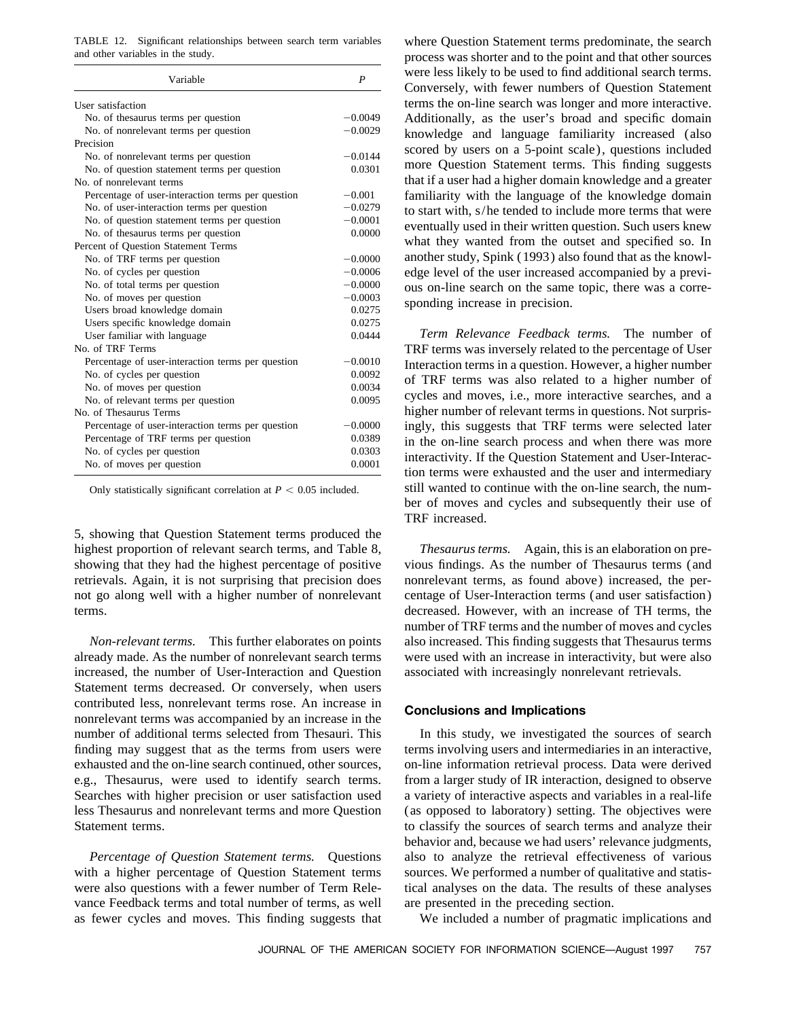TABLE 12. Significant relationships between search term variables where Question Statement terms predominate, the search and other variables in the study.

| Variable                                          | $\boldsymbol{P}$ |
|---------------------------------------------------|------------------|
| User satisfaction                                 |                  |
| No. of the saurus terms per question              | $-0.0049$        |
| No. of nonrelevant terms per question             | $-0.0029$        |
| Precision                                         |                  |
| No. of nonrelevant terms per question             | $-0.0144$        |
| No. of question statement terms per question      | 0.0301           |
| No. of nonrelevant terms                          |                  |
| Percentage of user-interaction terms per question | $-0.001$         |
| No. of user-interaction terms per question        | $-0.0279$        |
| No. of question statement terms per question      | $-0.0001$        |
| No. of the saurus terms per question              | 0.0000           |
| Percent of Question Statement Terms               |                  |
| No. of TRF terms per question                     | $-0.0000$        |
| No. of cycles per question                        | $-0.0006$        |
| No. of total terms per question                   | $-0.0000$        |
| No. of moves per question                         | $-0.0003$        |
| Users broad knowledge domain                      | 0.0275           |
| Users specific knowledge domain                   | 0.0275           |
| User familiar with language                       | 0.0444           |
| No. of TRF Terms                                  |                  |
| Percentage of user-interaction terms per question | $-0.0010$        |
| No. of cycles per question                        | 0.0092           |
| No. of moves per question                         | 0.0034           |
| No. of relevant terms per question                | 0.0095           |
| No. of Thesaurus Terms                            |                  |
| Percentage of user-interaction terms per question | $-0.0000$        |
| Percentage of TRF terms per question              | 0.0389           |
| No. of cycles per question                        | 0.0303           |
| No. of moves per question                         | 0.0001           |

5, showing that Question Statement terms produced the highest proportion of relevant search terms, and Table 8, *Thesaurus terms*. Again, this is an elaboration on preshowing that they had the highest percentage of positive vious findings. As the number of Thesaurus terms (and retrievals. Again, it is not surprising that precision does nonrelevant terms, as found above) increased, the pernot go along well with a higher number of nonrelevant centage of User-Interaction terms (and user satisfaction) terms. decreased. However, with an increase of TH terms, the

already made. As the number of nonrelevant search terms were used with an increase in interactivity, but were also increased, the number of User-Interaction and Question associated with increasingly nonrelevant retrievals. Statement terms decreased. Or conversely, when users contributed less, nonrelevant terms rose. An increase in **Conclusions and Implications** nonrelevant terms was accompanied by an increase in the number of additional terms selected from Thesauri. This In this study, we investigated the sources of search finding may suggest that as the terms from users were terms involving users and intermediaries in an interactive, exhausted and the on-line search continued, other sources, on-line information retrieval process. Data were derived e.g., Thesaurus, were used to identify search terms. from a larger study of IR interaction, designed to observe Searches with higher precision or user satisfaction used a variety of interactive aspects and variables in a real-life less Thesaurus and nonrelevant terms and more Question (as opposed to laboratory) setting. The objectives were Statement terms. to classify the sources of search terms and analyze their

with a higher percentage of Question Statement terms sources. We performed a number of qualitative and statiswere also questions with a fewer number of Term Rele- tical analyses on the data. The results of these analyses vance Feedback terms and total number of terms, as well are presented in the preceding section. as fewer cycles and moves. This finding suggests that We included a number of pragmatic implications and

process was shorter and to the point and that other sources were less likely to be used to find additional search terms. Conversely, with fewer numbers of Question Statement terms the on-line search was longer and more interactive. Additionally, as the user's broad and specific domain knowledge and language familiarity increased (also<br>scored by users on a 5-point scale), questions included<br>more Question Statement terms. This finding suggests that if a user had a higher domain knowledge and a greater familiarity with the language of the knowledge domain to start with, s/he tended to include more terms that were<br>eventually used in their written question. Such users knew<br>what they wanted from the outset and specified so. In another study, Spink (1993) also found that as the knowledge level of the user increased accompanied by a previous on-line search on the same topic, there was a corre- sponding increase in precision.

Term Relevance Feedback terms. The number of TRF terms was inversely related to the percentage of User Interaction terms in a question. However, a higher number<br>of TRF terms was also related to a higher number of<br>cycles and moves, i.e., more interactive searches, and a higher number of relevant terms in questions. Not surprisingly, this suggests that TRF terms were selected later in the on-line search process and when there was more<br>interactivity. If the Question Statement and User-Interac-<br>tion terms were exhausted and the user and intermediary Only statistically significant correlation at  $P < 0.05$  included. still wanted to continue with the on-line search, the number of moves and cycles and subsequently their use of TRF increased.

number of TRF terms and the number of moves and cycles *Non-relevant terms.* This further elaborates on points also increased. This finding suggests that Thesaurus terms

behavior and, because we had users' relevance judgments, *Percentage of Question Statement terms.* Questions also to analyze the retrieval effectiveness of various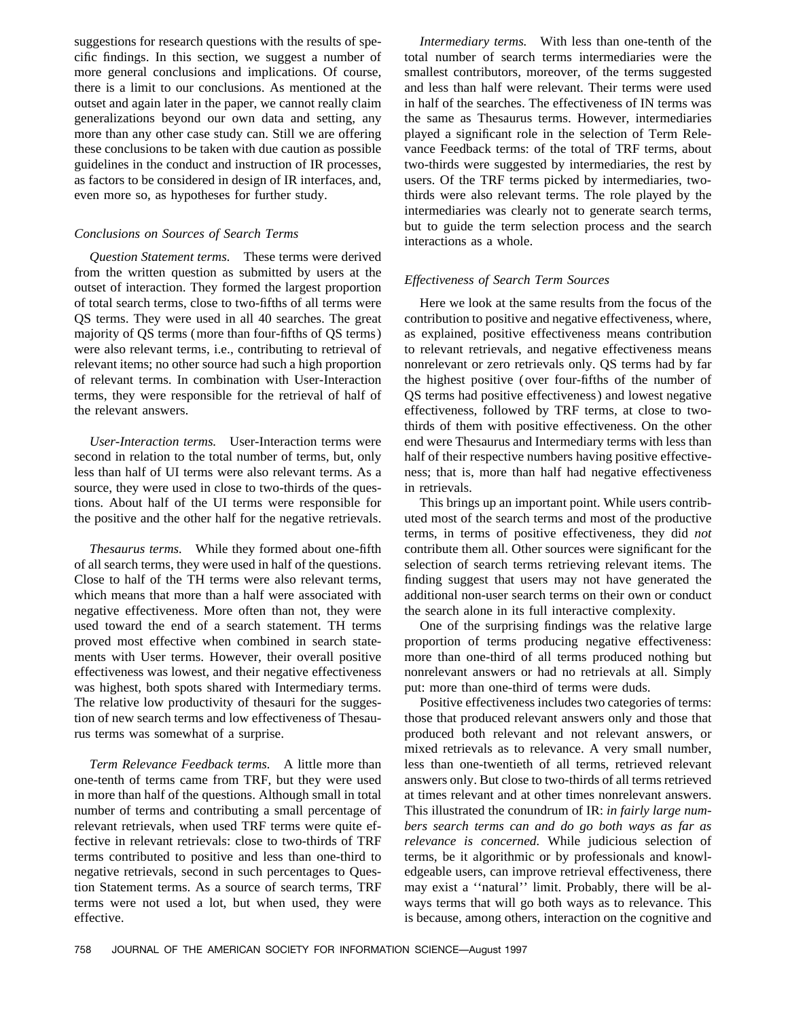suggestions for research questions with the results of spe- *Intermediary terms.* With less than one-tenth of the cific findings. In this section, we suggest a number of total number of search terms intermediaries were the more general conclusions and implications. Of course, smallest contributors, moreover, of the terms suggested there is a limit to our conclusions. As mentioned at the and less than half were relevant. Their terms were used outset and again later in the paper, we cannot really claim in half of the searches. The effectiveness of IN terms was generalizations beyond our own data and setting, any the same as Thesaurus terms. However, intermediaries more than any other case study can. Still we are offering played a significant role in the selection of Term Relethese conclusions to be taken with due caution as possible vance Feedback terms: of the total of TRF terms, about guidelines in the conduct and instruction of IR processes, two-thirds were suggested by intermediaries, the rest by as factors to be considered in design of IR interfaces, and, users. Of the TRF terms picked by intermediaries, twoeven more so, as hypotheses for further study. thirds were also relevant terms. The role played by the

*Question Statement terms.* These terms were derived from the written question as submitted by users at the *Effectiveness of Search Term Sources* outset of interaction. They formed the largest proportion of total search terms, close to two-fifths of all terms were Here we look at the same results from the focus of the QS terms. They were used in all 40 searches. The great contribution to positive and negative effectiveness, where, majority of QS terms (more than four-fifths of QS terms) as explained, positive effectiveness means contribution were also relevant terms, i.e., contributing to retrieval of to relevant retrievals, and negative effectiveness means relevant items; no other source had such a high proportion nonrelevant or zero retrievals only. QS terms had by far of relevant terms. In combination with User-Interaction the highest positive (over four-fifths of the number of terms, they were responsible for the retrieval of half of QS terms had positive effectiveness) and lowest negative the relevant answers. effectiveness, followed by TRF terms, at close to two-

second in relation to the total number of terms, but, only half of their respective numbers having positive effectiveless than half of UI terms were also relevant terms. As a ness; that is, more than half had negative effectiveness source, they were used in close to two-thirds of the ques- in retrievals. tions. About half of the UI terms were responsible for This brings up an important point. While users contribthe positive and the other half for the negative retrievals. uted most of the search terms and most of the productive

of all search terms, they were used in half of the questions. selection of search terms retrieving relevant items. The Close to half of the TH terms were also relevant terms, finding suggest that users may not have generated the which means that more than a half were associated with additional non-user search terms on their own or conduct negative effectiveness. More often than not, they were the search alone in its full interactive complexity. used toward the end of a search statement. TH terms One of the surprising findings was the relative large proved most effective when combined in search state- proportion of terms producing negative effectiveness: ments with User terms. However, their overall positive more than one-third of all terms produced nothing but effectiveness was lowest, and their negative effectiveness nonrelevant answers or had no retrievals at all. Simply was highest, both spots shared with Intermediary terms. put: more than one-third of terms were duds. The relative low productivity of thesauri for the sugges- Positive effectiveness includes two categories of terms: tion of new search terms and low effectiveness of Thesau- those that produced relevant answers only and those that rus terms was somewhat of a surprise. produced both relevant and not relevant answers, or

one-tenth of terms came from TRF, but they were used answers only. But close to two-thirds of all terms retrieved in more than half of the questions. Although small in total at times relevant and at other times nonrelevant answers. number of terms and contributing a small percentage of This illustrated the conundrum of IR: *in fairly large num*relevant retrievals, when used TRF terms were quite ef- *bers search terms can and do go both ways as far as* fective in relevant retrievals: close to two-thirds of TRF *relevance is concerned.* While judicious selection of terms contributed to positive and less than one-third to terms, be it algorithmic or by professionals and knowlnegative retrievals, second in such percentages to Ques- edgeable users, can improve retrieval effectiveness, there tion Statement terms. As a source of search terms, TRF may exist a ''natural'' limit. Probably, there will be alterms were not used a lot, but when used, they were ways terms that will go both ways as to relevance. This effective. is because, among others, interaction on the cognitive and

intermediaries was clearly not to generate search terms, but to guide the term selection process and the search *Conclusions on Sources of Search Terms* interactions as a whole.

thirds of them with positive effectiveness. On the other *User-Interaction terms.* User-Interaction terms were end were Thesaurus and Intermediary terms with less than

terms, in terms of positive effectiveness, they did *not Thesaurus terms.* While they formed about one-fifth contribute them all. Other sources were significant for the

mixed retrievals as to relevance. A very small number, *Term Relevance Feedback terms.* A little more than less than one-twentieth of all terms, retrieved relevant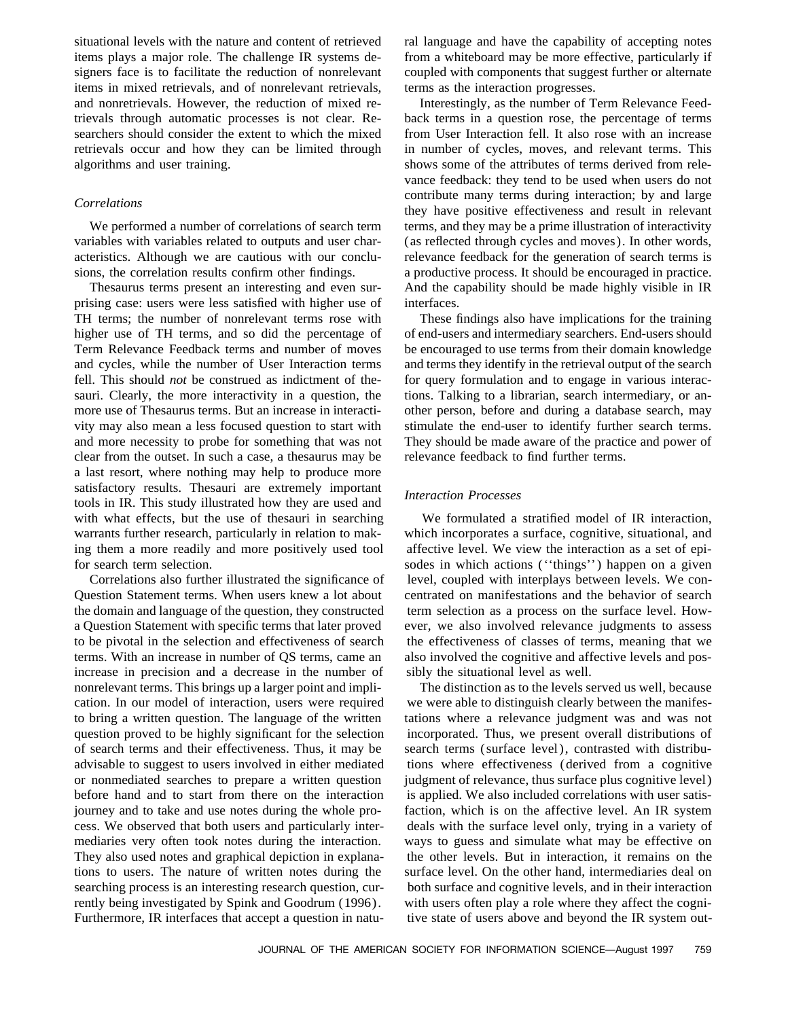situational levels with the nature and content of retrieved ral language and have the capability of accepting notes items plays a major role. The challenge IR systems de- from a whiteboard may be more effective, particularly if signers face is to facilitate the reduction of nonrelevant coupled with components that suggest further or alternate items in mixed retrievals, and of nonrelevant retrievals, terms as the interaction progresses. and nonretrievals. However, the reduction of mixed re- Interestingly, as the number of Term Relevance Feedtrievals through automatic processes is not clear. Re- back terms in a question rose, the percentage of terms searchers should consider the extent to which the mixed from User Interaction fell. It also rose with an increase retrievals occur and how they can be limited through in number of cycles, moves, and relevant terms. This algorithms and user training. shows some of the attributes of terms derived from rele-

variables with variables related to outputs and user char- (as reflected through cycles and moves). In other words, acteristics. Although we are cautious with our conclu- relevance feedback for the generation of search terms is sions, the correlation results confirm other findings. a productive process. It should be encouraged in practice.

prising case: users were less satisfied with higher use of interfaces. TH terms; the number of nonrelevant terms rose with These findings also have implications for the training higher use of TH terms, and so did the percentage of of end-users and intermediary searchers. End-users should Term Relevance Feedback terms and number of moves be encouraged to use terms from their domain knowledge and cycles, while the number of User Interaction terms and terms they identify in the retrieval output of the search fell. This should *not* be construed as indictment of the- for query formulation and to engage in various interacsauri. Clearly, the more interactivity in a question, the tions. Talking to a librarian, search intermediary, or anmore use of Thesaurus terms. But an increase in interacti-<br>other person, before and during a database search, may vity may also mean a less focused question to start with stimulate the end-user to identify further search terms. and more necessity to probe for something that was not They should be made aware of the practice and power of clear from the outset. In such a case, a thesaurus may be relevance feedback to find further terms. a last resort, where nothing may help to produce more satisfactory results. Thesauri are extremely important *Interaction Processes* tools in IR. This study illustrated how they are used and with what effects, but the use of thesauri in searching We formulated a stratified model of IR interaction, warrants further research, particularly in relation to mak-<br>which incorporates a surface, cognitive, situational, and ing them a more readily and more positively used tool affective level. We view the interaction as a set of epifor search term selection. Sodes in which actions ("things") happen on a given

Question Statement terms. When users knew a lot about centrated on manifestations and the behavior of search the domain and language of the question, they constructed term selection as a process on the surface level. Howa Question Statement with specific terms that later proved ever, we also involved relevance judgments to assess to be pivotal in the selection and effectiveness of search the effectiveness of classes of terms, meaning that we terms. With an increase in number of QS terms, came an also involved the cognitive and affective levels and posincrease in precision and a decrease in the number of sibly the situational level as well. nonrelevant terms. This brings up a larger point and impli- The distinction as to the levels served us well, because cation. In our model of interaction, users were required we were able to distinguish clearly between the manifesto bring a written question. The language of the written tations where a relevance judgment was and was not question proved to be highly significant for the selection incorporated. Thus, we present overall distributions of of search terms and their effectiveness. Thus, it may be search terms (surface level), contrasted with distribuadvisable to suggest to users involved in either mediated tions where effectiveness (derived from a cognitive or nonmediated searches to prepare a written question judgment of relevance, thus surface plus cognitive level) before hand and to start from there on the interaction is applied. We also included correlations with user satisjourney and to take and use notes during the whole pro- faction, which is on the affective level. An IR system cess. We observed that both users and particularly inter- deals with the surface level only, trying in a variety of mediaries very often took notes during the interaction. ways to guess and simulate what may be effective on They also used notes and graphical depiction in explana- the other levels. But in interaction, it remains on the tions to users. The nature of written notes during the surface level. On the other hand, intermediaries deal on searching process is an interesting research question, cur- both surface and cognitive levels, and in their interaction rently being investigated by Spink and Goodrum (1996). with users often play a role where they affect the cogni-Furthermore, IR interfaces that accept a question in natu-<br>tive state of users above and beyond the IR system out-

vance feedback: they tend to be used when users do not contribute many terms during interaction; by and large *Correlations* they have positive effectiveness and result in relevant We performed a number of correlations of search term terms, and they may be a prime illustration of interactivity Thesaurus terms present an interesting and even sur- And the capability should be made highly visible in IR

Correlations also further illustrated the significance of level, coupled with interplays between levels. We con-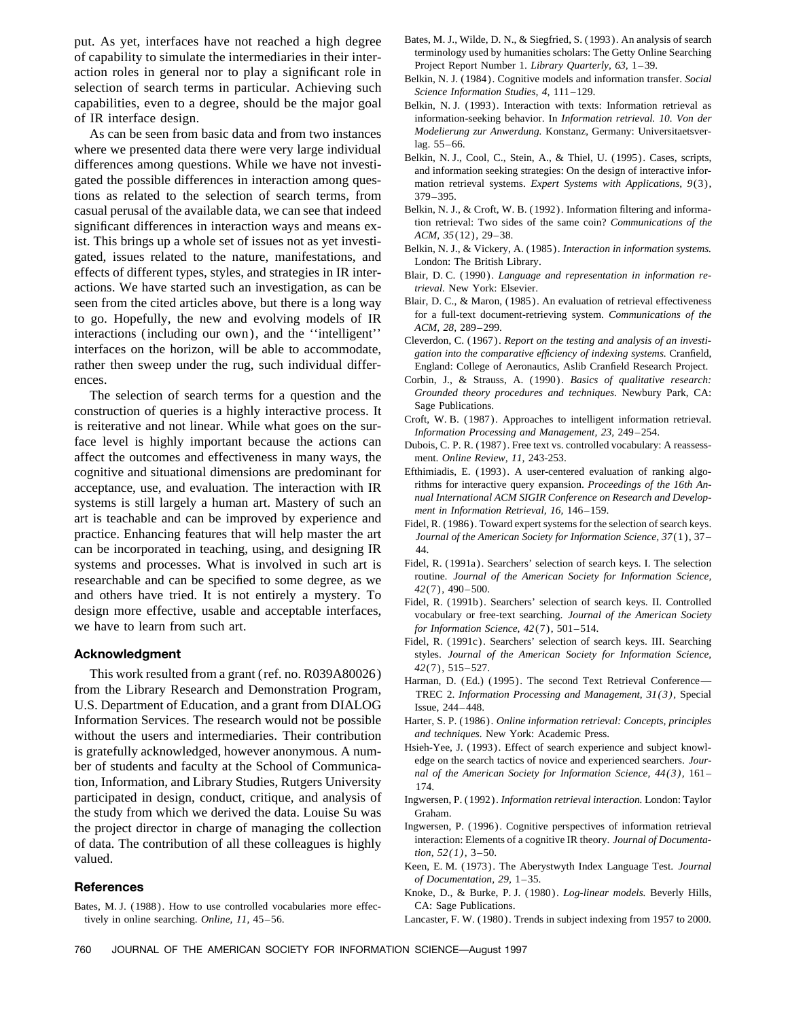of capability to simulate the intermediaries in their inter-<br>action roles in general nor to play a significant role in<br>Belkin, N. J. (1984). Cognitive models and information transfer. Social<br>Belkin, N. J. (1984). Cognitive selection of search terms in particular. Achieving such *Science Information Studies, 4,* 111–129. capabilities, even to a degree, should be the major goal Belkin, N. J. (1993). Interaction with texts: Information retrieval as of IR interface design. information-seeking behavior. In *Information retrieval. 10. Von der*

where we presented data there were very large individual<br>differences among questions. While we have not investi-<br>gated the possible differences in interaction among ques-<br>gated the possible differences in interaction amon tions as related to the selection of search terms, from 379–395. casual perusal of the available data, we can see that indeed Belkin, N. J., & Croft, W. B. (1992). Information filtering and informasignificant differences in interaction ways and means ex-<br>ist. This brings up a whole set of issues not as yet investi-<br>gated, issues related to the nature, manifestations, and<br>London: The British Library. effects of different types, styles, and strategies in IR inter- Blair, D. C. (1990). *Language and representation in information re*actions. We have started such an investigation, as can be *trieval.* New York: Elsevier. seen from the cited articles above, but there is a long way Blair, D. C., & Maron, (1985). An evaluation of retrieval effectiveness<br>to go. Honefully, the new and evolving models of IP for a full-text document-retrieving sy to go. Hopefully, the new and evolving models of IR interactions (including our own), and the "intelligent"  $ACM$ , 28, 289–299.<br>
Interactions (including our own), and the "intelligent" Cleverdon, C. (1967). Report on the t rather then sweep under the rug, such individual differ- England: College of Aeronautics, Aslib Cranfield Research Project. ences. Corbin, J., & Strauss, A. (1990). *Basics of qualitative research:*

construction of queries is a highly interactive process. It<br>is reiterative and not linear. While what goes on the sur-<br>Information Processing and Management, 23, 249–254. face level is highly important because the actions can Dubois, C. P. R. (1987). Free text vs. controlled vocabulary: A reassessaffect the outcomes and effectiveness in many ways, the ment. *Online Review, 11,* 243-253. cognitive and situational dimensions are predominant for<br>acceptance use and evaluation. The interaction with IR rithms for interactive query expansion. *Proceedings of the 16th An*acceptance, use, and evaluation. The interaction with IR systems is still largely a human art. Mastery of such an systems is still largely a human art. Mastery of such an and *nual International ACM SIGIR Conference on Res* practice. Enhancing features that will help master the art *Journal of the American Society for Information Science, 37*(1), 37– can be incorporated in teaching, using, and designing IR  $\qquad 44$ . systems and processes. What is involved in such art is Fidel, R. (1991a). Searchers' selection of search keys. I. The selection researchable and can be specified to some degree as we routine. Journal of the American Societ researchable and can be specified to some degree, as we<br>and others have tried. It is not entirely a mystery. To<br>design more effective, usable and acceptable interfaces,<br>we have to learn from such art.  $f(x) = f(x) + f(x) + f(x)$ <br>we

This work resulted from a grant (ref. no. R039A80026)  $42(7)$ , 515–527.<br>
from the Library Research and Demonstration Program, TREC 2. Information Processing and Management, 31(3), Special U.S. Department of Education, and a grant from DIALOG Issue, 244–448. Information Services. The research would not be possible Harter, S. P. (1986). *Online information retrieval: Concepts, principles* without the users and intermediaries. Their contribution *and techniques*. New York: Academic Press.<br>is gratefully acknowledged however anonymous A num. Hsieh-Yee, J. (1993). Effect of search experience and subject knowlis gratefully acknowledged, however anonymous. A num-<br>ber of students and faculty at the School of Communica-<br>her of students and faculty at the School of Communica-<br>hal of the American Society for Information Science, 44( tion, Information, and Library Studies, Rutgers University 174. participated in design, conduct, critique, and analysis of Ingwersen, P. (1992). Information retrieval interaction. London: Taylor the study from which we derived the data. Louise Su was Graham. Ingwersen, P. (1996). Cognitive perspectives of information retrieval<br>
Interaction: Elements of a cognitive IR theory. Journal of Documenta-<br>
Interaction: Elements of a cognitive IR theory. Journal of Documentaof data. The contribution of all these colleagues is highly<br>valued.<br>Ween, E. M. (1973). The Aberystwyth Index Language Test. Journal of Documenta-<br>Keen, E. M. (1973). The Aberystwyth Index Language Test. Journal

Bates, M. J. (1988). How to use controlled vocabularies more effec- CA: Sage Publications.

- put. As yet, interfaces have not reached a high degree Bates, M. J., Wilde, D. N., & Siegfried, S. (1993). An analysis of search of canability to simulate the intermediaries in their inter terminology used by humanities sc
	-
	- As can be seen from basic data and from two instances *Modelierung zur Anwerdung*. Konstanz, Germany: Universitaetsver-<br>lag. 55–66.
		-
		-
		-
		-
		-
		-
	- The selection of search terms for a question and the *Grounded theory procedures and techniques*. Newbury Park, CA:<br> **Sage Publications.** 
		-
		-
		-
		-
		-
		- for Information Science, 42(7), 501-514.
- Fidel, R. (1991c). Searchers' selection of search keys. III. Searching **Acknowledgment** styles. *Journal of the American Society for Information Science,* 
	-
	-
	-
	-
	-
	-
- **Procumentation, 29, 1–35.**<br>**References** Knoke, D., & Burke, P. J. (1980). *Log-linear models.* Beverly Hills,
	- tively in online searching. *Online, 11*, 45–56. Lancaster, F. W. (1980). Trends in subject indexing from 1957 to 2000.